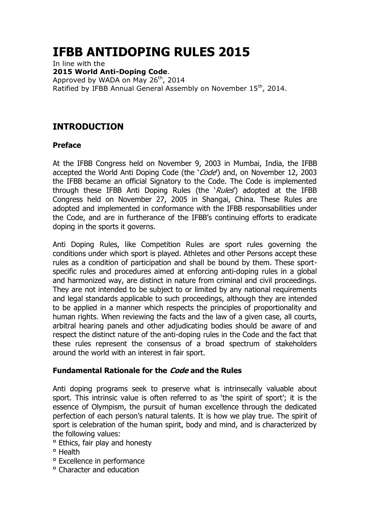# **IFBB ANTIDOPING RULES 2015**

In line with the **2015 World Anti-Doping Code**. Approved by WADA on May 26<sup>th</sup>, 2014 Ratified by IFBB Annual General Assembly on November 15<sup>th</sup>, 2014.

# **INTRODUCTION**

### **Preface**

At the IFBB Congress held on November 9, 2003 in Mumbai, India, the IFBB accepted the World Anti Doping Code (the '*Code*') and, on November 12, 2003 the IFBB became an official Signatory to the Code. The Code is implemented through these IFBB Anti Doping Rules (the 'Rules') adopted at the IFBB Congress held on November 27, 2005 in Shangai, China. These Rules are adopted and implemented in conformance with the IFBB responsabilities under the Code, and are in furtherance of the IFBB"s continuing efforts to eradicate doping in the sports it governs.

Anti Doping Rules, like Competition Rules are sport rules governing the conditions under which sport is played. Athletes and other Persons accept these rules as a condition of participation and shall be bound by them. These sportspecific rules and procedures aimed at enforcing anti-doping rules in a global and harmonized way, are distinct in nature from criminal and civil proceedings. They are not intended to be subject to or limited by any national requirements and legal standards applicable to such proceedings, although they are intended to be applied in a manner which respects the principles of proportionality and human rights. When reviewing the facts and the law of a given case, all courts, arbitral hearing panels and other adjudicating bodies should be aware of and respect the distinct nature of the anti-doping rules in the Code and the fact that these rules represent the consensus of a broad spectrum of stakeholders around the world with an interest in fair sport.

### **Fundamental Rationale for the Code and the Rules**

Anti doping programs seek to preserve what is intrinsecally valuable about sport. This intrinsic value is often referred to as 'the spirit of sport'; it is the essence of Olympism, the pursuit of human excellence through the dedicated perfection of each person"s natural talents. It is how we play true. The spirit of sport is celebration of the human spirit, body and mind, and is characterized by the following values:

- ° Ethics, fair play and honesty
- ° Health
- ° Excellence in performance
- ° Character and education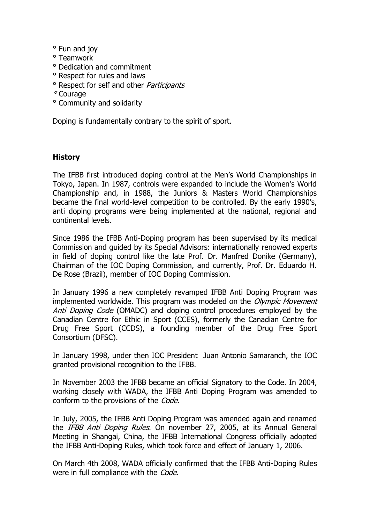- ° Fun and joy
- ° Teamwork
- ° Dedication and commitment
- ° Respect for rules and laws
- <sup>o</sup> Respect for self and other *Participants*
- ° Courage
- ° Community and solidarity

Doping is fundamentally contrary to the spirit of sport.

#### **History**

The IFBB first introduced doping control at the Men"s World Championships in Tokyo, Japan. In 1987, controls were expanded to include the Women"s World Championship and, in 1988, the Juniors & Masters World Championships became the final world-level competition to be controlled. By the early 1990"s, anti doping programs were being implemented at the national, regional and continental levels.

Since 1986 the IFBB Anti-Doping program has been supervised by its medical Commission and guided by its Special Advisors: internationally renowed experts in field of doping control like the late Prof. Dr. Manfred Donike (Germany), Chairman of the IOC Doping Commission, and currently, Prof. Dr. Eduardo H. De Rose (Brazil), member of IOC Doping Commission.

In January 1996 a new completely revamped IFBB Anti Doping Program was implemented worldwide. This program was modeled on the *Olympic Movement* Anti Doping Code (OMADC) and doping control procedures employed by the Canadian Centre for Ethic in Sport (CCES), formerly the Canadian Centre for Drug Free Sport (CCDS), a founding member of the Drug Free Sport Consortium (DFSC).

In January 1998, under then IOC President Juan Antonio Samaranch, the IOC granted provisional recognition to the IFBB.

In November 2003 the IFBB became an official Signatory to the Code. In 2004, working closely with WADA, the IFBB Anti Doping Program was amended to conform to the provisions of the Code.

In July, 2005, the IFBB Anti Doping Program was amended again and renamed the IFBB Anti Doping Rules. On november 27, 2005, at its Annual General Meeting in Shangai, China, the IFBB International Congress officially adopted the IFBB Anti-Doping Rules, which took force and effect of January 1, 2006.

On March 4th 2008, WADA officially confirmed that the IFBB Anti-Doping Rules were in full compliance with the Code.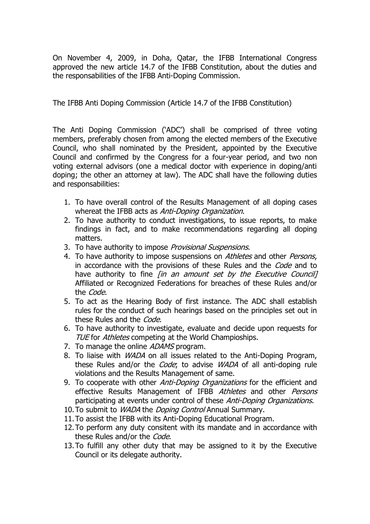On November 4, 2009, in Doha, Qatar, the IFBB International Congress approved the new article 14.7 of the IFBB Constitution, about the duties and the responsabilities of the IFBB Anti-Doping Commission.

The IFBB Anti Doping Commission (Article 14.7 of the IFBB Constitution)

The Anti Doping Commission ("ADC") shall be comprised of three voting members, preferably chosen from among the elected members of the Executive Council, who shall nominated by the President, appointed by the Executive Council and confirmed by the Congress for a four-year period, and two non voting external advisors (one a medical doctor with experience in doping/anti doping; the other an attorney at law). The ADC shall have the following duties and responsabilities:

- 1. To have overall control of the Results Management of all doping cases whereat the IFBB acts as Anti-Doping Organization.
- 2. To have authority to conduct investigations, to issue reports, to make findings in fact, and to make recommendations regarding all doping matters.
- 3. To have authority to impose *Provisional Suspensions*.
- 4. To have authority to impose suspensions on Athletes and other Persons, in accordance with the provisions of these Rules and the *Code* and to have authority to fine  $\sin$  an amount set by the Executive Council] Affiliated or Recognized Federations for breaches of these Rules and/or the Code.
- 5. To act as the Hearing Body of first instance. The ADC shall establish rules for the conduct of such hearings based on the principles set out in these Rules and the *Code*.
- 6. To have authority to investigate, evaluate and decide upon requests for TUE for Athletes competing at the World Champioships.
- 7. To manage the online ADAMS program.
- 8. To liaise with *WADA* on all issues related to the Anti-Doping Program, these Rules and/or the *Code*; to advise *WADA* of all anti-doping rule violations and the Results Management of same.
- 9. To cooperate with other *Anti-Doping Organizations* for the efficient and effective Results Management of IFBB Athletes and other Persons participating at events under control of these *Anti-Doping Organizations*.
- 10. To submit to *WADA* the *Doping Control* Annual Summary.
- 11.To assist the IFBB with its Anti-Doping Educational Program.
- 12.To perform any duty consitent with its mandate and in accordance with these Rules and/or the *Code*.
- 13.To fulfill any other duty that may be assigned to it by the Executive Council or its delegate authority.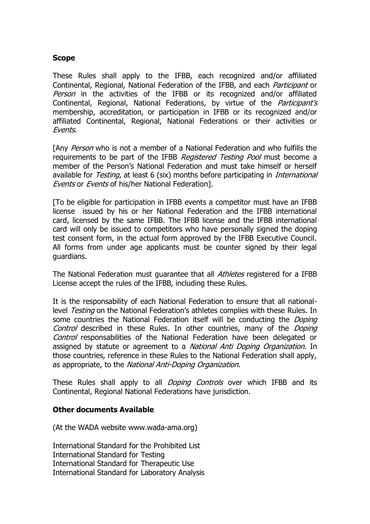#### **Scope**

These Rules shall apply to the IFBB, each recognized and/or affiliated Continental, Regional, National Federation of the IFBB, and each Participant or Person in the activities of the IFBB or its recognized and/or affiliated Continental, Regional, National Federations, by virtue of the *Participant's* membership, accreditation, or participation in IFBB or its recognized and/or affiliated Continental, Regional, National Federations or their activities or Events.

[Any Person who is not a member of a National Federation and who fulfills the requirements to be part of the IFBB Registered Testing Pool must become a member of the Person"s National Federation and must take himself or herself available for *Testing*, at least 6 (six) months before participating in *International* Events or Events of his/her National Federation].

[To be eligible for participation in IFBB events a competitor must have an IFBB license issued by his or her National Federation and the IFBB international card, licensed by the same IFBB. The IFBB license and the IFBB international card will only be issued to competitors who have personally signed the doping test consent form, in the actual form approved by the IFBB Executive Council. All forms from under age applicants must be counter signed by their legal guardians.

The National Federation must guarantee that all *Athletes* registered for a IFBB License accept the rules of the IFBB, including these Rules.

It is the responsability of each National Federation to ensure that all nationallevel *Testing* on the National Federation's athletes complies with these Rules. In some countries the National Federation itself will be conducting the *Doping* Control described in these Rules. In other countries, many of the Doping Control responsabilities of the National Federation have been delegated or assigned by statute or agreement to a *National Anti Doping Organization*. In those countries, reference in these Rules to the National Federation shall apply, as appropriate, to the National Anti-Doping Organization.

These Rules shall apply to all *Doping Controls* over which IFBB and its Continental, Regional National Federations have jurisdiction.

#### **Other documents Available**

(At the WADA website www.wada-ama.org)

International Standard for the Prohibited List International Standard for Testing International Standard for Therapeutic Use International Standard for Laboratory Analysis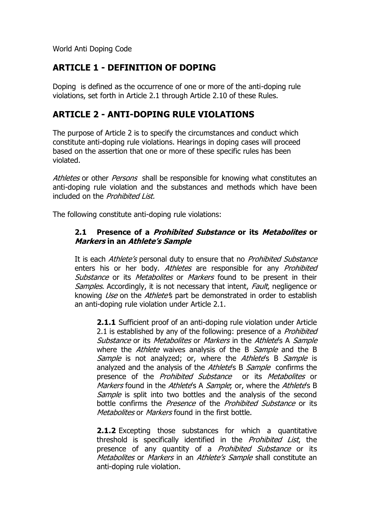World Anti Doping Code

# **ARTICLE 1 - DEFINITION OF DOPING**

Doping is defined as the occurrence of one or more of the anti-doping rule violations, set forth in Article 2.1 through Article 2.10 of these Rules.

# **ARTICLE 2 - ANTI-DOPING RULE VIOLATIONS**

The purpose of Article 2 is to specify the circumstances and conduct which constitute anti-doping rule violations. Hearings in doping cases will proceed based on the assertion that one or more of these specific rules has been violated.

Athletes or other *Persons* shall be responsible for knowing what constitutes an anti-doping rule violation and the substances and methods which have been included on the *Prohibited List*.

The following constitute anti-doping rule violations:

### **2.1 Presence of a Prohibited Substance or its Metabolites or Markers in an Athlete"s Sample**

It is each Athlete's personal duty to ensure that no Prohibited Substance enters his or her body. Athletes are responsible for any Prohibited Substance or its Metabolites or Markers found to be present in their Samples. Accordingly, it is not necessary that intent, Fault, negligence or knowing *Use* on the *Athlete's* part be demonstrated in order to establish an anti-doping rule violation under Article 2.1.

**2.1.1** Sufficient proof of an anti-doping rule violation under Article 2.1 is established by any of the following: presence of a *Prohibited* Substance or its Metabolites or Markers in the Athlete's A Sample where the Athlete waives analysis of the B Sample and the B Sample is not analyzed; or, where the Athlete's B Sample is analyzed and the analysis of the Athlete's B Sample confirms the presence of the *Prohibited Substance* or its *Metabolites* or Markers found in the Athlete's A Sample; or, where the Athlete's B Sample is split into two bottles and the analysis of the second bottle confirms the *Presence* of the *Prohibited Substance* or its Metabolites or Markers found in the first bottle.

**2.1.2** Excepting those substances for which a quantitative threshold is specifically identified in the *Prohibited List*, the presence of any quantity of a *Prohibited Substance* or its Metabolites or Markers in an Athlete's Sample shall constitute an anti-doping rule violation.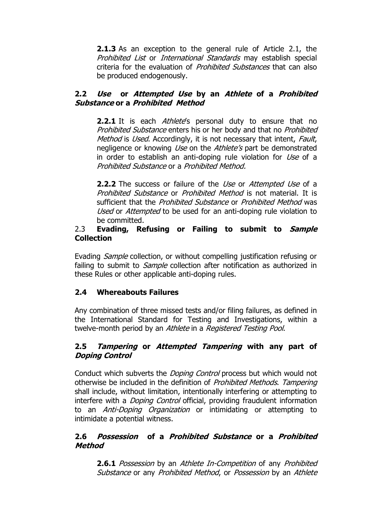**2.1.3** As an exception to the general rule of Article 2.1, the Prohibited List or International Standards may establish special criteria for the evaluation of Prohibited Substances that can also be produced endogenously.

### **2.2 Use or Attempted Use by an Athlete of a Prohibited Substance or a Prohibited Method**

**2.2.1** It is each *Athlete*'s personal duty to ensure that no Prohibited Substance enters his or her body and that no Prohibited Method is Used. Accordingly, it is not necessary that intent, Fault, negligence or knowing Use on the Athlete's part be demonstrated in order to establish an anti-doping rule violation for Use of a Prohibited Substance or a Prohibited Method.

**2.2.2** The success or failure of the *Use* or *Attempted Use* of a Prohibited Substance or Prohibited Method is not material. It is sufficient that the *Prohibited Substance* or *Prohibited Method* was Used or Attempted to be used for an anti-doping rule violation to be committed.

#### 2.3 **Evading, Refusing or Failing to submit to Sample Collection**

Evading *Sample* collection, or without compelling justification refusing or failing to submit to *Sample* collection after notification as authorized in these Rules or other applicable anti-doping rules.

### **2.4 Whereabouts Failures**

Any combination of three missed tests and/or filing failures, as defined in the International Standard for Testing and Investigations, within a twelve-month period by an *Athlete* in a *Registered Testing Pool.* 

### **2.5 Tampering or Attempted Tampering with any part of Doping Control**

Conduct which subverts the *Doping Control* process but which would not otherwise be included in the definition of Prohibited Methods. Tampering shall include, without limitation, intentionally interfering or attempting to interfere with a *Doping Control* official, providing fraudulent information to an *Anti-Doping Organization* or intimidating or attempting to intimidate a potential witness.

### **2.6 Possession of a Prohibited Substance or a Prohibited Method**

**2.6.1** Possession by an Athlete In-Competition of any Prohibited Substance or any Prohibited Method, or Possession by an Athlete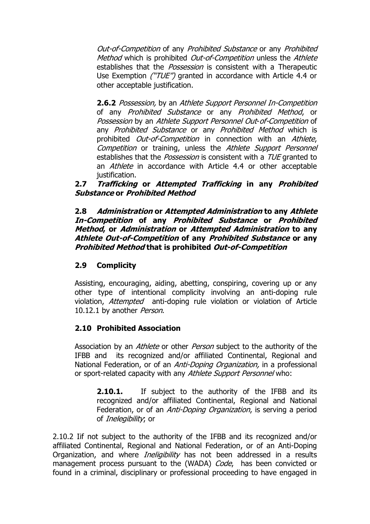Out-of-Competition of any Prohibited Substance or any Prohibited Method which is prohibited Out-of-Competition unless the Athlete establishes that the *Possession* is consistent with a Therapeutic Use Exemption ("TUE") granted in accordance with Article 4.4 or other acceptable justification.

**2.6.2** Possession, by an Athlete Support Personnel In-Competition of any Prohibited Substance or any Prohibited Method, or Possession by an Athlete Support Personnel Out-of-Competition of any Prohibited Substance or any Prohibited Method which is prohibited *Out-of-Competition* in connection with an *Athlete*, Competition or training, unless the Athlete Support Personnel establishes that the *Possession* is consistent with a *TUE* granted to an *Athlete* in accordance with Article 4.4 or other acceptable justification.

### **2.7 Trafficking or Attempted Trafficking in any Prohibited Substance or Prohibited Method**

**2.8 Administration or Attempted Administration to any Athlete In-Competition of any Prohibited Substance or Prohibited Method, or Administration or Attempted Administration to any Athlete Out-of-Competition of any Prohibited Substance or any Prohibited Method that is prohibited Out-of-Competition**

### **2.9 Complicity**

Assisting, encouraging, aiding, abetting, conspiring, covering up or any other type of intentional complicity involving an anti-doping rule violation, Attempted anti-doping rule violation or violation of Article 10.12.1 by another Person.

#### **2.10 Prohibited Association**

Association by an *Athlete* or other *Person* subject to the authority of the IFBB and its recognized and/or affiliated Continental, Regional and National Federation, or of an Anti-Doping Organization, in a professional or sport-related capacity with any Athlete Support Personnel who:

**2.10.1.** If subject to the authority of the IFBB and its recognized and/or affiliated Continental, Regional and National Federation, or of an *Anti-Doping Organization*, is serving a period of Inelegibility; or

2.10.2 Iif not subject to the authority of the IFBB and its recognized and/or affiliated Continental, Regional and National Federation, or of an Anti-Doping Organization, and where *Ineligibility* has not been addressed in a results management process pursuant to the (WADA) Code, has been convicted or found in a criminal, disciplinary or professional proceeding to have engaged in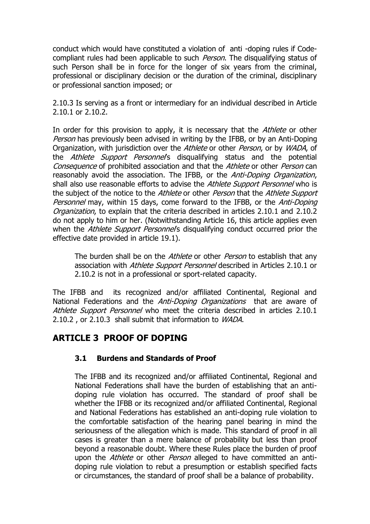conduct which would have constituted a violation of anti -doping rules if Codecompliant rules had been applicable to such *Person*. The disqualifying status of such Person shall be in force for the longer of six years from the criminal, professional or disciplinary decision or the duration of the criminal, disciplinary or professional sanction imposed; or

2.10.3 Is serving as a front or intermediary for an individual described in Article 2.10.1 or 2.10.2.

In order for this provision to apply, it is necessary that the Athlete or other Person has previously been advised in writing by the IFBB, or by an Anti-Doping Organization, with jurisdiction over the Athlete or other Person, or by WADA, of the Athlete Support Personnel's disqualifying status and the potential Consequence of prohibited association and that the Athlete or other Person can reasonably avoid the association. The IFBB, or the *Anti-Doping Organization*, shall also use reasonable efforts to advise the Athlete Support Personnel who is the subject of the notice to the Athlete or other Person that the Athlete Support Personnel may, within 15 days, come forward to the IFBB, or the Anti-Doping Organization, to explain that the criteria described in articles 2.10.1 and 2.10.2 do not apply to him or her. (Notwithstanding Article 16, this article applies even when the Athlete Support Personnel's disqualifying conduct occurred prior the effective date provided in article 19.1).

The burden shall be on the *Athlete* or other *Person* to establish that any association with *Athlete Support Personnel* described in Articles 2.10.1 or 2.10.2 is not in a professional or sport-related capacity.

The IFBB and its recognized and/or affiliated Continental, Regional and National Federations and the *Anti-Doping Organizations* that are aware of Athlete Support Personnel who meet the criteria described in articles 2.10.1 2.10.2, or 2.10.3 shall submit that information to WADA.

# **ARTICLE 3 PROOF OF DOPING**

### **3.1 Burdens and Standards of Proof**

The IFBB and its recognized and/or affiliated Continental, Regional and National Federations shall have the burden of establishing that an antidoping rule violation has occurred. The standard of proof shall be whether the IFBB or its recognized and/or affiliated Continental, Regional and National Federations has established an anti-doping rule violation to the comfortable satisfaction of the hearing panel bearing in mind the seriousness of the allegation which is made. This standard of proof in all cases is greater than a mere balance of probability but less than proof beyond a reasonable doubt. Where these Rules place the burden of proof upon the *Athlete* or other *Person* alleged to have committed an antidoping rule violation to rebut a presumption or establish specified facts or circumstances, the standard of proof shall be a balance of probability.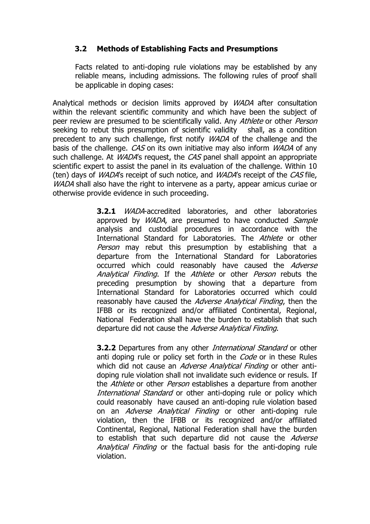### **3.2 Methods of Establishing Facts and Presumptions**

Facts related to anti-doping rule violations may be established by any reliable means, including admissions. The following rules of proof shall be applicable in doping cases:

Analytical methods or decision limits approved by WADA after consultation within the relevant scientific community and which have been the subject of peer review are presumed to be scientifically valid. Any Athlete or other Person seeking to rebut this presumption of scientific validity shall, as a condition precedent to any such challenge, first notify *WADA* of the challenge and the basis of the challenge. CAS on its own initiative may also inform *WADA* of any such challenge. At *WADA*'s request, the *CAS* panel shall appoint an appropriate scientific expert to assist the panel in its evaluation of the challenge. Within 10 (ten) days of *WADA*'s receipt of such notice, and *WADA*'s receipt of the *CAS* file, WADA shall also have the right to intervene as a party, appear amicus curiae or otherwise provide evidence in such proceeding.

> **3.2.1** WADA-accredited laboratories, and other laboratories approved by WADA, are presumed to have conducted Sample analysis and custodial procedures in accordance with the International Standard for Laboratories. The Athlete or other Person may rebut this presumption by establishing that a departure from the International Standard for Laboratories occurred which could reasonably have caused the Adverse Analytical Finding. If the Athlete or other Person rebuts the preceding presumption by showing that a departure from International Standard for Laboratories occurred which could reasonably have caused the *Adverse Analytical Finding*, then the IFBB or its recognized and/or affiliated Continental, Regional, National Federation shall have the burden to establish that such departure did not cause the Adverse Analytical Finding.

> **3.2.2** Departures from any other *International Standard* or other anti doping rule or policy set forth in the *Code* or in these Rules which did not cause an *Adverse Analytical Finding* or other antidoping rule violation shall not invalidate such evidence or resuls. If the Athlete or other Person establishes a departure from another International Standard or other anti-doping rule or policy which could reasonably have caused an anti-doping rule violation based on an Adverse Analytical Finding or other anti-doping rule violation, then the IFBB or its recognized and/or affiliated Continental, Regional, National Federation shall have the burden to establish that such departure did not cause the Adverse Analytical Finding or the factual basis for the anti-doping rule violation.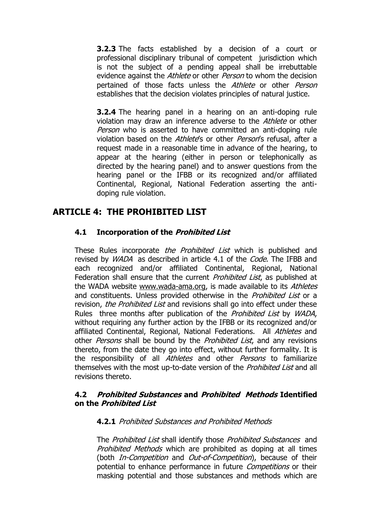**3.2.3** The facts established by a decision of a court or professional disciplinary tribunal of competent jurisdiction which is not the subject of a pending appeal shall be irrebuttable evidence against the *Athlete* or other *Person* to whom the decision pertained of those facts unless the Athlete or other Person establishes that the decision violates principles of natural justice.

**3.2.4** The hearing panel in a hearing on an anti-doping rule violation may draw an inference adverse to the Athlete or other Person who is asserted to have committed an anti-doping rule violation based on the Athlete's or other Person's refusal, after a request made in a reasonable time in advance of the hearing, to appear at the hearing (either in person or telephonically as directed by the hearing panel) and to answer questions from the hearing panel or the IFBB or its recognized and/or affiliated Continental, Regional, National Federation asserting the antidoping rule violation.

## **ARTICLE 4: THE PROHIBITED LIST**

### **4.1 Incorporation of the Prohibited List**

These Rules incorporate *the Prohibited List* which is published and revised by *WADA* as described in article 4.1 of the *Code*. The IFBB and each recognized and/or affiliated Continental, Regional, National Federation shall ensure that the current *Prohibited List*, as published at the WADA website [www.wada-ama.org,](http://www.wada-ama.org/) is made available to its Athletes and constituents. Unless provided otherwise in the *Prohibited List* or a revision, the Prohibited List and revisions shall go into effect under these Rules three months after publication of the *Prohibited List* by *WADA*, without requiring any further action by the IFBB or its recognized and/or affiliated Continental, Regional, National Federations. All Athletes and other *Persons* shall be bound by the *Prohibited List*, and any revisions thereto, from the date they go into effect, without further formality. It is the responsibility of all *Athletes* and other *Persons* to familiarize themselves with the most up-to-date version of the *Prohibited List* and all revisions thereto.

#### **4.2 Prohibited Substances and Prohibited Methods Identified on the Prohibited List**

#### **4.2.1** Prohibited Substances and Prohibited Methods

The Prohibited List shall identify those Prohibited Substances and Prohibited Methods which are prohibited as doping at all times (both *In-Competition* and *Out-of-Competition*), because of their potential to enhance performance in future *Competitions* or their masking potential and those substances and methods which are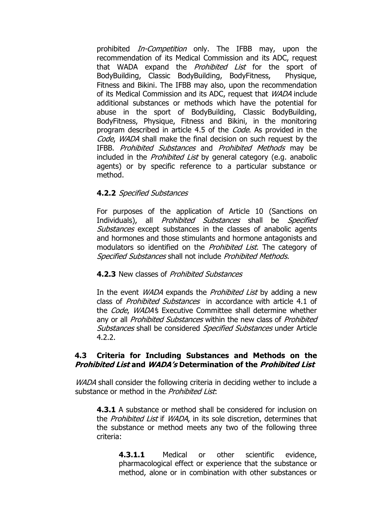prohibited *In-Competition* only. The IFBB may, upon the recommendation of its Medical Commission and its ADC, request that WADA expand the *Prohibited List* for the sport of BodyBuilding, Classic BodyBuilding, BodyFitness, Physique, Fitness and Bikini. The IFBB may also, upon the recommendation of its Medical Commission and its ADC, request that *WADA* include additional substances or methods which have the potential for abuse in the sport of BodyBuilding, Classic BodyBuilding, BodyFitness, Physique, Fitness and Bikini, in the monitoring program described in article 4.5 of the *Code*. As provided in the Code, WADA shall make the final decision on such request by the IFBB. Prohibited Substances and Prohibited Methods may be included in the *Prohibited List* by general category (e.g. anabolic agents) or by specific reference to a particular substance or method.

#### **4.2.2** Specified Substances

For purposes of the application of Article 10 (Sanctions on Individuals), all *Prohibited Substances* shall be *Specified* Substances except substances in the classes of anabolic agents and hormones and those stimulants and hormone antagonists and modulators so identified on the *Prohibited List*. The category of Specified Substances shall not include Prohibited Methods.

#### **4.2.3** New classes of Prohibited Substances

In the event *WADA* expands the *Prohibited List* by adding a new class of *Prohibited Substances* in accordance with article 4.1 of the *Code. WADA'*s Executive Committee shall determine whether any or all *Prohibited Substances* within the new class of *Prohibited* Substances shall be considered Specified Substances under Article 4.2.2.

#### **4.3 Criteria for Including Substances and Methods on the Prohibited List and WADA"s Determination of the Prohibited List**

WADA shall consider the following criteria in deciding wether to include a substance or method in the *Prohibited List*:

**4.3.1** A substance or method shall be considered for inclusion on the Prohibited List if WADA, in its sole discretion, determines that the substance or method meets any two of the following three criteria:

**4.3.1.1** Medical or other scientific evidence, pharmacological effect or experience that the substance or method, alone or in combination with other substances or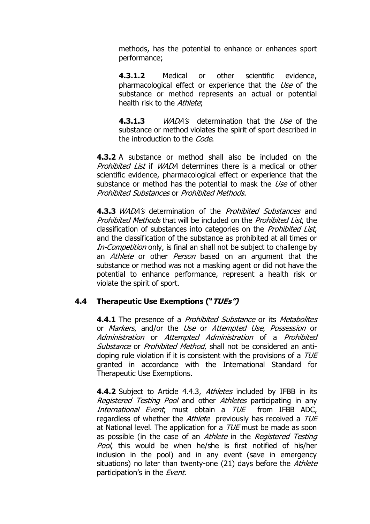methods, has the potential to enhance or enhances sport performance;

**4.3.1.2** Medical or other scientific evidence, pharmacological effect or experience that the Use of the substance or method represents an actual or potential health risk to the Athlete:

**4.3.1.3** *WADA's* determination that the *Use* of the substance or method violates the spirit of sport described in the introduction to the *Code*.

**4.3.2** A substance or method shall also be included on the Prohibited List if WADA determines there is a medical or other scientific evidence, pharmacological effect or experience that the substance or method has the potential to mask the Use of other Prohibited Substances or Prohibited Methods.

**4.3.3** *WADA's* determination of the *Prohibited Substances* and Prohibited Methods that will be included on the Prohibited List, the classification of substances into categories on the Prohibited List, and the classification of the substance as prohibited at all times or In-Competition only, is final an shall not be subject to challenge by an *Athlete* or other *Person* based on an argument that the substance or method was not a masking agent or did not have the potential to enhance performance, represent a health risk or violate the spirit of sport.

### **4.4 Therapeutic Use Exemptions ("TUEs")**

**4.4.1** The presence of a *Prohibited Substance* or its *Metabolites* or Markers, and/or the Use or Attempted Use, Possession or Administration or Attempted Administration of a Prohibited Substance or Prohibited Method, shall not be considered an antidoping rule violation if it is consistent with the provisions of a TUE granted in accordance with the International Standard for Therapeutic Use Exemptions.

**4.4.2** Subject to Article 4.4.3, Athletes included by IFBB in its Registered Testing Pool and other Athletes participating in any International Event, must obtain a TUE from IFBB ADC, regardless of whether the Athlete previously has received a TUE at National level. The application for a  $TUE$  must be made as soon as possible (in the case of an Athlete in the Registered Testing Pool, this would be when he/she is first notified of his/her inclusion in the pool) and in any event (save in emergency situations) no later than twenty-one (21) days before the Athlete participation's in the Event.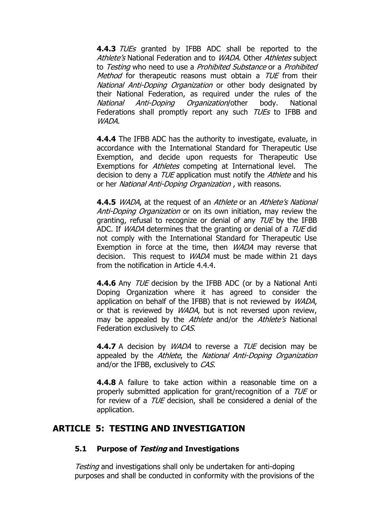**4.4.3** TUEs granted by IFBB ADC shall be reported to the Athlete's National Federation and to WADA. Other Athletes subject to Testing who need to use a Prohibited Substance or a Prohibited Method for therapeutic reasons must obtain a TUE from their National Anti-Doping Organization or other body designated by their National Federation, as required under the rules of the National Anti-Doping Organization/other body. National Federations shall promptly report any such TUEs to IFBB and WADA.

**4.4.4** The IFBB ADC has the authority to investigate, evaluate, in accordance with the International Standard for Therapeutic Use Exemption, and decide upon requests for Therapeutic Use Exemptions for *Athletes* competing at International level. The decision to deny a *TUE* application must notify the *Athlete* and his or her National Anti-Doping Organization , with reasons.

**4.4.5** *WADA*, at the request of an *Athlete* or an *Athlete's National* Anti-Doping Organization or on its own initiation, may review the granting, refusal to recognize or denial of any TUE by the IFBB ADC. If *WADA* determines that the granting or denial of a *TUE* did not comply with the International Standard for Therapeutic Use Exemption in force at the time, then *WADA* may reverse that decision. This request to *WADA* must be made within 21 days from the notification in Article 4.4.4.

**4.4.6** Any *TUE* decision by the IFBB ADC (or by a National Anti Doping Organization where it has agreed to consider the application on behalf of the IFBB) that is not reviewed by WADA, or that is reviewed by *WADA*, but is not reversed upon review, may be appealed by the Athlete and/or the Athlete's National Federation exclusively to CAS.

**4.4.7** A decision by *WADA* to reverse a *TUE* decision may be appealed by the Athlete, the National Anti-Doping Organization and/or the IFBB, exclusively to CAS.

**4.4.8** A failure to take action within a reasonable time on a properly submitted application for grant/recognition of a TUE or for review of a *TUE* decision, shall be considered a denial of the application.

## **ARTICLE 5: TESTING AND INVESTIGATION**

#### **5.1 Purpose of Testing and Investigations**

Testing and investigations shall only be undertaken for anti-doping purposes and shall be conducted in conformity with the provisions of the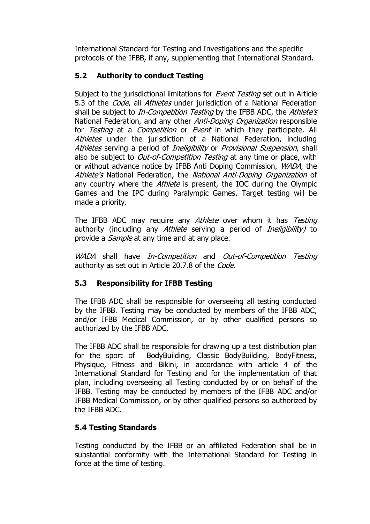International Standard for Testing and Investigations and the specific protocols of the IFBB, if any, supplementing that International Standard.

# **5.2 Authority to conduct Testing**

Subject to the jurisdictional limitations for *Event Testing* set out in Article 5.3 of the *Code*, all *Athletes* under jurisdiction of a National Federation shall be subject to *In-Competition Testing* by the IFBB ADC, the Athlete's National Federation, and any other *Anti-Doping Organization* responsible for Testing at a Competition or Event in which they participate. All Athletes under the jurisdiction of a National Federation, including Athletes serving a period of *Ineligibility* or *Provisional Suspension*, shall also be subject to *Out-of-Competition Testing* at any time or place, with or without advance notice by IFBB Anti Doping Commission, WADA, the Athlete's National Federation, the National Anti-Doping Organization of any country where the *Athlete* is present, the IOC during the Olympic Games and the IPC during Paralympic Games. Target testing will be made a priority.

The IFBB ADC may require any Athlete over whom it has Testing authority (including any Athlete serving a period of *Ineligibility*) to provide a *Sample* at any time and at any place.

WADA shall have In-Competition and Out-of-Competition Testing authority as set out in Article 20.7.8 of the *Code*.

## **5.3 Responsibility for IFBB Testing**

The IFBB ADC shall be responsible for overseeing all testing conducted by the IFBB. Testing may be conducted by members of the IFBB ADC, and/or IFBB Medical Commission, or by other qualified persons so authorized by the IFBB ADC.

The IFBB ADC shall be responsible for drawing up a test distribution plan for the sport of BodyBuilding, Classic BodyBuilding, BodyFitness, Physique, Fitness and Bikini, in accordance with article 4 of the International Standard for Testing and for the implementation of that plan, including overseeing all Testing conducted by or on behalf of the IFBB. Testing may be conducted by members of the IFBB ADC and/or IFBB Medical Commission, or by other qualified persons so authorized by the IFBB ADC.

## **5.4 Testing Standards**

Testing conducted by the IFBB or an affiliated Federation shall be in substantial conformity with the International Standard for Testing in force at the time of testing.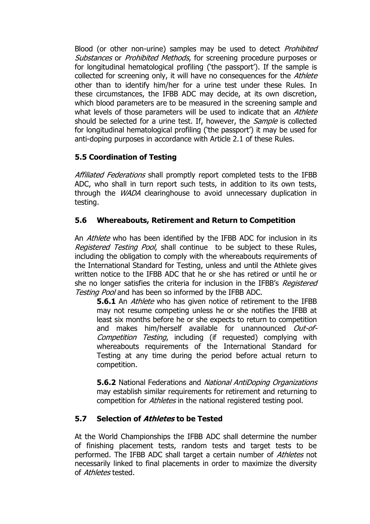Blood (or other non-urine) samples may be used to detect *Prohibited* Substances or Prohibited Methods, for screening procedure purposes or for longitudinal hematological profiling ("the passport"). If the sample is collected for screening only, it will have no consequences for the Athlete other than to identify him/her for a urine test under these Rules. In these circumstances, the IFBB ADC may decide, at its own discretion, which blood parameters are to be measured in the screening sample and what levels of those parameters will be used to indicate that an *Athlete* should be selected for a urine test. If, however, the *Sample* is collected for longitudinal hematological profiling ('the passport') it may be used for anti-doping purposes in accordance with Article 2.1 of these Rules.

### **5.5 Coordination of Testing**

Affiliated Federations shall promptly report completed tests to the IFBB ADC, who shall in turn report such tests, in addition to its own tests, through the WADA clearinghouse to avoid unnecessary duplication in testing.

### **5.6 Whereabouts, Retirement and Return to Competition**

An *Athlete* who has been identified by the IFBB ADC for inclusion in its Registered Testing Pool, shall continue to be subject to these Rules, including the obligation to comply with the whereabouts requirements of the International Standard for Testing, unless and until the Athlete gives written notice to the IFBB ADC that he or she has retired or until he or she no longer satisfies the criteria for inclusion in the IFBB's *Registered* Testing Pool and has been so informed by the IFBB ADC.

**5.6.1** An *Athlete* who has given notice of retirement to the IFBB may not resume competing unless he or she notifies the IFBB at least six months before he or she expects to return to competition and makes him/herself available for unannounced Out-of-Competition Testing, including (if requested) complying with whereabouts requirements of the International Standard for Testing at any time during the period before actual return to competition.

**5.6.2** National Federations and *National AntiDoping Organizations* may establish similar requirements for retirement and returning to competition for *Athletes* in the national registered testing pool.

### **5.7 Selection of Athletes to be Tested**

At the World Championships the IFBB ADC shall determine the number of finishing placement tests, random tests and target tests to be performed. The IFBB ADC shall target a certain number of Athletes not necessarily linked to final placements in order to maximize the diversity of *Athletes* tested.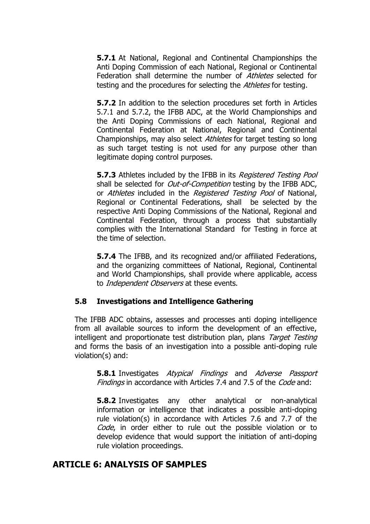**5.7.1** At National, Regional and Continental Championships the Anti Doping Commission of each National, Regional or Continental Federation shall determine the number of *Athletes* selected for testing and the procedures for selecting the *Athletes* for testing.

**5.7.2** In addition to the selection procedures set forth in Articles 5.7.1 and 5.7.2, the IFBB ADC, at the World Championships and the Anti Doping Commissions of each National, Regional and Continental Federation at National, Regional and Continental Championships, may also select *Athletes* for target testing so long as such target testing is not used for any purpose other than legitimate doping control purposes.

**5.7.3** Athletes included by the IFBB in its *Registered Testing Pool* shall be selected for *Out-of-Competition* testing by the IFBB ADC, or Athletes included in the Registered Testing Pool of National, Regional or Continental Federations, shall be selected by the respective Anti Doping Commissions of the National, Regional and Continental Federation, through a process that substantially complies with the International Standard for Testing in force at the time of selection.

**5.7.4** The IFBB, and its recognized and/or affiliated Federations, and the organizing committees of National, Regional, Continental and World Championships, shall provide where applicable, access to *Independent Observers* at these events.

#### **5.8 Investigations and Intelligence Gathering**

The IFBB ADC obtains, assesses and processes anti doping intelligence from all available sources to inform the development of an effective, intelligent and proportionate test distribution plan, plans Target Testing and forms the basis of an investigation into a possible anti-doping rule violation(s) and:

**5.8.1** Investigates Atypical Findings and Adverse Passport Findings in accordance with Articles 7.4 and 7.5 of the Code and:

**5.8.2** Investigates any other analytical or non-analytical information or intelligence that indicates a possible anti-doping rule violation(s) in accordance with Articles 7.6 and 7.7 of the Code, in order either to rule out the possible violation or to develop evidence that would support the initiation of anti-doping rule violation proceedings.

#### **ARTICLE 6: ANALYSIS OF SAMPLES**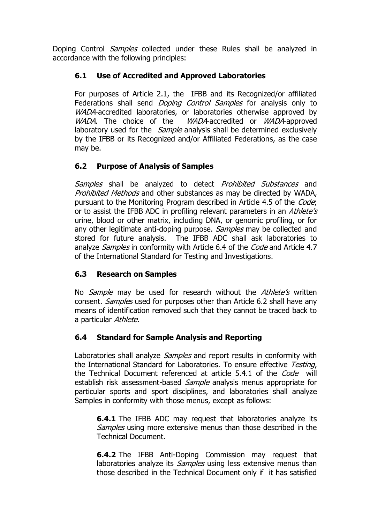Doping Control *Samples* collected under these Rules shall be analyzed in accordance with the following principles:

### **6.1 Use of Accredited and Approved Laboratories**

For purposes of Article 2.1, the IFBB and its Recognized/or affiliated Federations shall send *Doping Control Samples* for analysis only to WADA-accredited laboratories, or laboratories otherwise approved by WADA. The choice of the WADA-accredited or WADA-approved laboratory used for the *Sample* analysis shall be determined exclusively by the IFBB or its Recognized and/or Affiliated Federations, as the case may be.

## **6.2 Purpose of Analysis of Samples**

Samples shall be analyzed to detect Prohibited Substances and Prohibited Methods and other substances as may be directed by WADA, pursuant to the Monitoring Program described in Article 4.5 of the Code; or to assist the IFBB ADC in profiling relevant parameters in an *Athlete's* urine, blood or other matrix, including DNA, or genomic profiling, or for any other legitimate anti-doping purpose. Samples may be collected and stored for future analysis. The IFBB ADC shall ask laboratories to analyze *Samples* in conformity with Article 6.4 of the *Code* and Article 4.7 of the International Standard for Testing and Investigations.

### **6.3 Research on Samples**

No Sample may be used for research without the Athlete's written consent. Samples used for purposes other than Article 6.2 shall have any means of identification removed such that they cannot be traced back to a particular Athlete.

## **6.4 Standard for Sample Analysis and Reporting**

Laboratories shall analyze *Samples* and report results in conformity with the International Standard for Laboratories. To ensure effective Testing, the Technical Document referenced at article 5.4.1 of the *Code* will establish risk assessment-based *Sample* analysis menus appropriate for particular sports and sport disciplines, and laboratories shall analyze Samples in conformity with those menus, except as follows:

**6.4.1** The IFBB ADC may request that laboratories analyze its Samples using more extensive menus than those described in the Technical Document.

**6.4.2** The IFBB Anti-Doping Commission may request that laboratories analyze its *Samples* using less extensive menus than those described in the Technical Document only if it has satisfied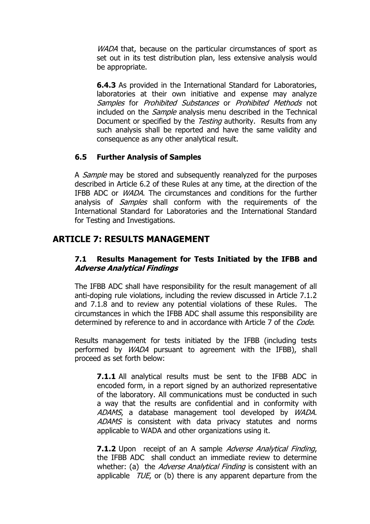WADA that, because on the particular circumstances of sport as set out in its test distribution plan, less extensive analysis would be appropriate.

**6.4.3** As provided in the International Standard for Laboratories, laboratories at their own initiative and expense may analyze Samples for Prohibited Substances or Prohibited Methods not included on the *Sample* analysis menu described in the Technical Document or specified by the Testing authority. Results from any such analysis shall be reported and have the same validity and consequence as any other analytical result.

### **6.5 Further Analysis of Samples**

A *Sample* may be stored and subsequently reanalyzed for the purposes described in Article 6.2 of these Rules at any time, at the direction of the IFBB ADC or WADA. The circumstances and conditions for the further analysis of *Samples* shall conform with the requirements of the International Standard for Laboratories and the International Standard for Testing and Investigations.

# **ARTICLE 7: RESULTS MANAGEMENT**

### **7.1 Results Management for Tests Initiated by the IFBB and Adverse Analytical Findings**

The IFBB ADC shall have responsibility for the result management of all anti-doping rule violations, including the review discussed in Article 7.1.2 and 7.1.8 and to review any potential violations of these Rules. The circumstances in which the IFBB ADC shall assume this responsibility are determined by reference to and in accordance with Article 7 of the *Code*.

Results management for tests initiated by the IFBB (including tests performed by WADA pursuant to agreement with the IFBB), shall proceed as set forth below:

**7.1.1** All analytical results must be sent to the IFBB ADC in encoded form, in a report signed by an authorized representative of the laboratory. All communications must be conducted in such a way that the results are confidential and in conformity with ADAMS, a database management tool developed by WADA. ADAMS is consistent with data privacy statutes and norms applicable to WADA and other organizations using it.

**7.1.2** Upon receipt of an A sample *Adverse Analytical Finding*, the IFBB ADC shall conduct an immediate review to determine whether: (a) the *Adverse Analytical Finding* is consistent with an applicable  $TUE$ , or (b) there is any apparent departure from the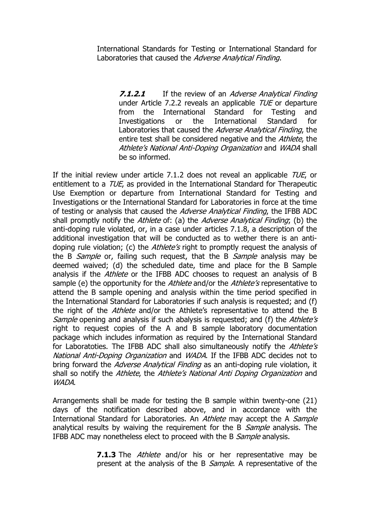International Standards for Testing or International Standard for Laboratories that caused the Adverse Analytical Finding.

**7.1.2.1** If the review of an *Adverse Analytical Finding* under Article 7.2.2 reveals an applicable *TUE* or departure from the International Standard for Testing and Investigations or the International Standard for Laboratories that caused the Adverse Analytical Finding, the entire test shall be considered negative and the Athlete, the Athlete's National Anti-Doping Organization and WADA shall be so informed.

If the initial review under article 7.1.2 does not reveal an applicable TUE, or entitlement to a TUE, as provided in the International Standard for Therapeutic Use Exemption or departure from International Standard for Testing and Investigations or the International Standard for Laboratories in force at the time of testing or analysis that caused the *Adverse Analytical Finding*, the IFBB ADC shall promptly notify the Athlete of: (a) the Adverse Analytical Finding; (b) the anti-doping rule violated, or, in a case under articles 7.1.8, a description of the additional investigation that will be conducted as to wether there is an antidoping rule violation; (c) the *Athlete's* right to promptly request the analysis of the B *Sample* or, failing such request, that the B *Sample* analysis may be deemed waived; (d) the scheduled date, time and place for the B Sample analysis if the *Athlete* or the IFBB ADC chooses to request an analysis of B sample (e) the opportunity for the Athlete and/or the Athlete's representative to attend the B sample opening and analysis within the time period specified in the International Standard for Laboratories if such analysis is requested; and (f) the right of the *Athlete* and/or the Athlete's representative to attend the B Sample opening and analysis if such abalysis is requested; and (f) the Athlete's right to request copies of the A and B sample laboratory documentation package which includes information as required by the International Standard for Laboratoties. The IFBB ADC shall also simultaneously notify the Athlete's National Anti-Doping Organization and WADA. If the IFBB ADC decides not to bring forward the *Adverse Analytical Finding* as an anti-doping rule violation, it shall so notify the Athlete, the Athlete's National Anti Doping Organization and WADA.

Arrangements shall be made for testing the B sample within twenty-one (21) days of the notification described above, and in accordance with the International Standard for Laboratories. An Athlete may accept the A Sample analytical results by waiving the requirement for the B Sample analysis. The IFBB ADC may nonetheless elect to proceed with the B Sample analysis.

> **7.1.3** The *Athlete* and/or his or her representative may be present at the analysis of the B Sample. A representative of the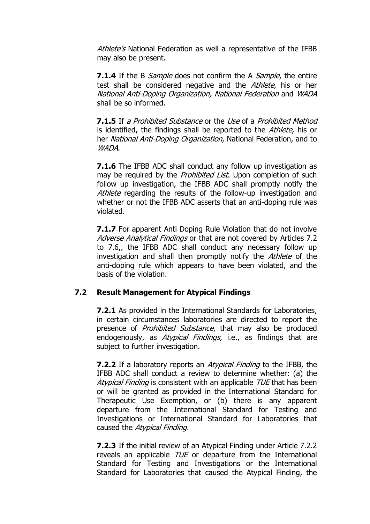Athlete's National Federation as well a representative of the IFBB may also be present.

**7.1.4** If the B *Sample* does not confirm the A *Sample*, the entire test shall be considered negative and the Athlete, his or her National Anti-Doping Organization, National Federation and WADA shall be so informed.

**7.1.5** If a Prohibited Substance or the Use of a Prohibited Method is identified, the findings shall be reported to the Athlete, his or her National Anti-Doping Organization, National Federation, and to WADA.

**7.1.6** The IFBB ADC shall conduct any follow up investigation as may be required by the *Prohibited List*. Upon completion of such follow up investigation, the IFBB ADC shall promptly notify the Athlete regarding the results of the follow-up investigation and whether or not the IFBB ADC asserts that an anti-doping rule was violated.

**7.1.7** For apparent Anti Doping Rule Violation that do not involve Adverse Analytical Findings or that are not covered by Articles 7.2 to 7.6,, the IFBB ADC shall conduct any necessary follow up investigation and shall then promptly notify the Athlete of the anti-doping rule which appears to have been violated, and the basis of the violation.

#### **7.2 Result Management for Atypical Findings**

**7.2.1** As provided in the International Standards for Laboratories, in certain circumstances laboratories are directed to report the presence of *Prohibited Substance*, that may also be produced endogenously, as *Atypical Findings*, i.e., as findings that are subject to further investigation.

**7.2.2** If a laboratory reports an Atypical Finding to the IFBB, the IFBB ADC shall conduct a review to determine whether: (a) the Atypical Finding is consistent with an applicable TUE that has been or will be granted as provided in the International Standard for Therapeutic Use Exemption, or (b) there is any apparent departure from the International Standard for Testing and Investigations or International Standard for Laboratories that caused the Atypical Finding.

**7.2.3** If the initial review of an Atypical Finding under Article 7.2.2 reveals an applicable  $TUE$  or departure from the International Standard for Testing and Investigations or the International Standard for Laboratories that caused the Atypical Finding, the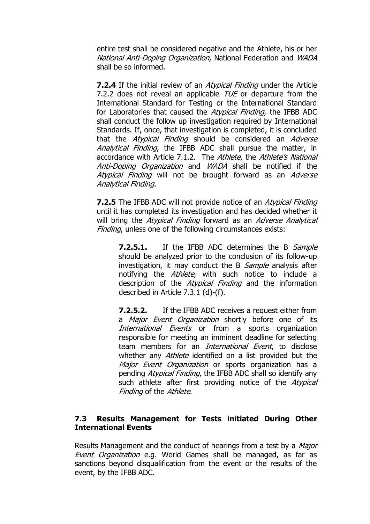entire test shall be considered negative and the Athlete, his or her National Anti-Doping Organization, National Federation and WADA shall be so informed.

**7.2.4** If the initial review of an *Atypical Finding* under the Article 7.2.2 does not reveal an applicable *TUE* or departure from the International Standard for Testing or the International Standard for Laboratories that caused the *Atypical Finding*, the IFBB ADC shall conduct the follow up investigation required by International Standards. If, once, that investigation is completed, it is concluded that the *Atypical Finding* should be considered an *Adverse* Analytical Finding, the IFBB ADC shall pursue the matter, in accordance with Article 7.1.2. The Athlete, the Athlete's National Anti-Doping Organization and WADA shall be notified if the Atypical Finding will not be brought forward as an Adverse Analytical Finding.

**7.2.5** The IFBB ADC will not provide notice of an Atypical Finding until it has completed its investigation and has decided whether it will bring the Atypical Finding forward as an Adverse Analytical Finding, unless one of the following circumstances exists:

**7.2.5.1.** If the IFBB ADC determines the B Sample should be analyzed prior to the conclusion of its follow-up investigation, it may conduct the B Sample analysis after notifying the Athlete, with such notice to include a description of the *Atypical Finding* and the information described in Article 7.3.1 (d)-(f).

**7.2.5.2.** If the IFBB ADC receives a request either from a *Major Event Organization* shortly before one of its International Events or from a sports organization responsible for meeting an imminent deadline for selecting team members for an *International Event*, to disclose whether any *Athlete* identified on a list provided but the Major Event Organization or sports organization has a pending Atypical Finding, the IFBB ADC shall so identify any such athlete after first providing notice of the Atypical Finding of the Athlete.

### **7.3 Results Management for Tests initiated During Other International Events**

Results Management and the conduct of hearings from a test by a Major Event Organization e.g. World Games shall be managed, as far as sanctions beyond disqualification from the event or the results of the event, by the IFBB ADC.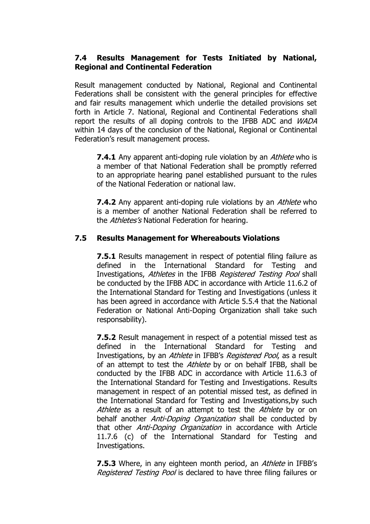#### **7.4 Results Management for Tests Initiated by National, Regional and Continental Federation**

Result management conducted by National, Regional and Continental Federations shall be consistent with the general principles for effective and fair results management which underlie the detailed provisions set forth in Article 7. National, Regional and Continental Federations shall report the results of all doping controls to the IFBB ADC and WADA within 14 days of the conclusion of the National, Regional or Continental Federation's result management process.

**7.4.1** Any apparent anti-doping rule violation by an *Athlete* who is a member of that National Federation shall be promptly referred to an appropriate hearing panel established pursuant to the rules of the National Federation or national law.

**7.4.2** Any apparent anti-doping rule violations by an Athlete who is a member of another National Federation shall be referred to the *Athletes's* National Federation for hearing.

#### **7.5 Results Management for Whereabouts Violations**

**7.5.1** Results management in respect of potential filing failure as defined in the International Standard for Testing and Investigations, Athletes in the IFBB Registered Testing Pool shall be conducted by the IFBB ADC in accordance with Article 11.6.2 of the International Standard for Testing and Investigations (unless it has been agreed in accordance with Article 5.5.4 that the National Federation or National Anti-Doping Organization shall take such responsability).

**7.5.2** Result management in respect of a potential missed test as defined in the International Standard for Testing and Investigations, by an *Athlete* in IFBB's *Registered Pool*, as a result of an attempt to test the *Athlete* by or on behalf IFBB, shall be conducted by the IFBB ADC in accordance with Article 11.6.3 of the International Standard for Testing and Investigations. Results management in respect of an potential missed test, as defined in the International Standard for Testing and Investigations,by such Athlete as a result of an attempt to test the Athlete by or on behalf another *Anti-Doping Organization* shall be conducted by that other *Anti-Doping Organization* in accordance with Article 11.7.6 (c) of the International Standard for Testing and Investigations.

**7.5.3** Where, in any eighteen month period, an *Athlete* in IFBB's Registered Testing Pool is declared to have three filing failures or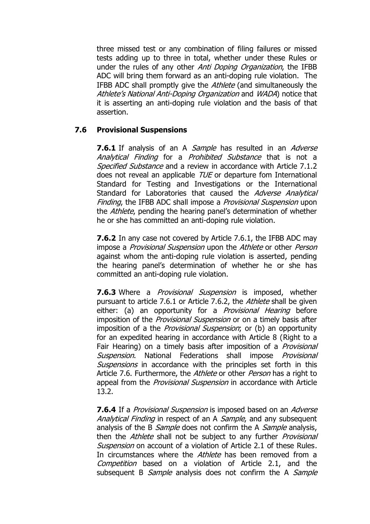three missed test or any combination of filing failures or missed tests adding up to three in total, whether under these Rules or under the rules of any other Anti Doping Organization, the IFBB ADC will bring them forward as an anti-doping rule violation. The IFBB ADC shall promptly give the *Athlete* (and simultaneously the Athlete's National Anti-Doping Organization and WADA) notice that it is asserting an anti-doping rule violation and the basis of that assertion.

### **7.6 Provisional Suspensions**

**7.6.1** If analysis of an A *Sample* has resulted in an *Adverse* Analytical Finding for a Prohibited Substance that is not a Specified Substance and a review in accordance with Article 7.1.2 does not reveal an applicable TUE or departure fom International Standard for Testing and Investigations or the International Standard for Laboratories that caused the Adverse Analytical Finding, the IFBB ADC shall impose a *Provisional Suspension* upon the *Athlete*, pending the hearing panel's determination of whether he or she has committed an anti-doping rule violation.

**7.6.2** In any case not covered by Article 7.6.1, the IFBB ADC may impose a *Provisional Suspension* upon the Athlete or other *Person* against whom the anti-doping rule violation is asserted, pending the hearing panel"s determination of whether he or she has committed an anti-doping rule violation.

**7.6.3** Where a *Provisional Suspension* is imposed, whether pursuant to article 7.6.1 or Article 7.6.2, the Athlete shall be given either: (a) an opportunity for a *Provisional Hearing* before imposition of the *Provisional Suspension* or on a timely basis after imposition of a the *Provisional Suspension*; or (b) an opportunity for an expedited hearing in accordance with Article 8 (Right to a Fair Hearing) on a timely basis after imposition of a *Provisional* Suspension. National Federations shall impose *Provisional* Suspensions in accordance with the principles set forth in this Article 7.6. Furthermore, the Athlete or other Person has a right to appeal from the *Provisional Suspension* in accordance with Article 13.2.

**7.6.4** If a *Provisional Suspension* is imposed based on an *Adverse* Analytical Finding in respect of an A Sample, and any subsequent analysis of the B *Sample* does not confirm the A *Sample* analysis, then the *Athlete* shall not be subject to any further *Provisional* Suspension on account of a violation of Article 2.1 of these Rules. In circumstances where the *Athlete* has been removed from a Competition based on a violation of Article 2.1, and the subsequent B *Sample* analysis does not confirm the A *Sample*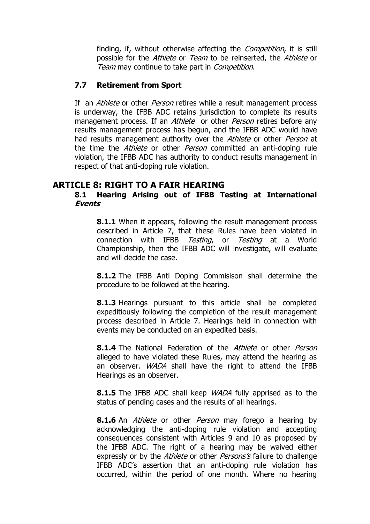finding, if, without otherwise affecting the *Competition*, it is still possible for the Athlete or Team to be reinserted, the Athlete or Team may continue to take part in *Competition*.

### **7.7 Retirement from Sport**

If an *Athlete* or other *Person* retires while a result management process is underway, the IFBB ADC retains jurisdiction to complete its results management process. If an Athlete or other Person retires before any results management process has begun, and the IFBB ADC would have had results management authority over the *Athlete* or other *Person* at the time the *Athlete* or other *Person* committed an anti-doping rule violation, the IFBB ADC has authority to conduct results management in respect of that anti-doping rule violation.

## **ARTICLE 8: RIGHT TO A FAIR HEARING**

#### **8.1 Hearing Arising out of IFBB Testing at International Events**

**8.1.1** When it appears, following the result management process described in Article 7, that these Rules have been violated in connection with IFBB Testing, or Testing at a World Championship, then the IFBB ADC will investigate, will evaluate and will decide the case.

**8.1.2** The IFBB Anti Doping Commisison shall determine the procedure to be followed at the hearing.

**8.1.3** Hearings pursuant to this article shall be completed expeditiously following the completion of the result management process described in Article 7. Hearings held in connection with events may be conducted on an expedited basis.

**8.1.4** The National Federation of the *Athlete* or other *Person* alleged to have violated these Rules, may attend the hearing as an observer. *WADA* shall have the right to attend the IFBB Hearings as an observer.

**8.1.5** The IFBB ADC shall keep *WADA* fully apprised as to the status of pending cases and the results of all hearings.

**8.1.6** An *Athlete* or other *Person* may forego a hearing by acknowledging the anti-doping rule violation and accepting consequences consistent with Articles 9 and 10 as proposed by the IFBB ADC. The right of a hearing may be waived either expressly or by the *Athlete* or other *Persons's* failure to challenge IFBB ADC"s assertion that an anti-doping rule violation has occurred, within the period of one month. Where no hearing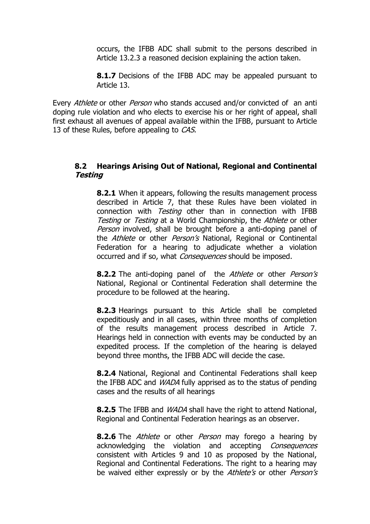occurs, the IFBB ADC shall submit to the persons described in Article 13.2.3 a reasoned decision explaining the action taken.

**8.1.7** Decisions of the IFBB ADC may be appealed pursuant to Article 13.

Every *Athlete* or other *Person* who stands accused and/or convicted of an anti doping rule violation and who elects to exercise his or her right of appeal, shall first exhaust all avenues of appeal available within the IFBB, pursuant to Article 13 of these Rules, before appealing to CAS.

#### **8.2 Hearings Arising Out of National, Regional and Continental Testing**

**8.2.1** When it appears, following the results management process described in Article 7, that these Rules have been violated in connection with *Testing* other than in connection with IFBB Testing or Testing at a World Championship, the Athlete or other Person involved, shall be brought before a anti-doping panel of the Athlete or other Person's National, Regional or Continental Federation for a hearing to adjudicate whether a violation occurred and if so, what *Consequences* should be imposed.

**8.2.2** The anti-doping panel of the Athlete or other Person's National, Regional or Continental Federation shall determine the procedure to be followed at the hearing.

**8.2.3** Hearings pursuant to this Article shall be completed expeditiously and in all cases, within three months of completion of the results management process described in Article 7. Hearings held in connection with events may be conducted by an expedited process. If the completion of the hearing is delayed beyond three months, the IFBB ADC will decide the case.

**8.2.4** National, Regional and Continental Federations shall keep the IFBB ADC and WADA fully apprised as to the status of pending cases and the results of all hearings

**8.2.5** The IFBB and WADA shall have the right to attend National, Regional and Continental Federation hearings as an observer.

**8.2.6** The *Athlete* or other *Person* may forego a hearing by acknowledging the violation and accepting Consequences consistent with Articles 9 and 10 as proposed by the National, Regional and Continental Federations. The right to a hearing may be waived either expressly or by the Athlete's or other Person's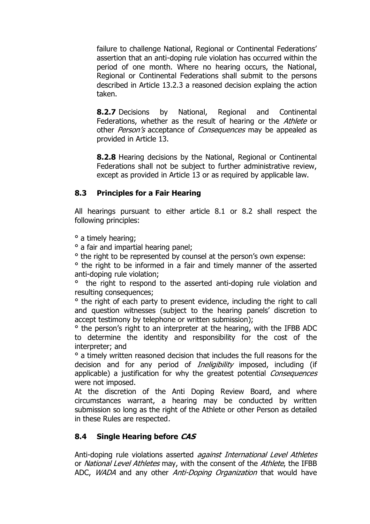failure to challenge National, Regional or Continental Federations' assertion that an anti-doping rule violation has occurred within the period of one month. Where no hearing occurs, the National, Regional or Continental Federations shall submit to the persons described in Article 13.2.3 a reasoned decision explaing the action taken.

**8.2.7** Decisions by National, Regional and Continental Federations, whether as the result of hearing or the Athlete or other Person's acceptance of Consequences may be appealed as provided in Article 13.

**8.2.8** Hearing decisions by the National, Regional or Continental Federations shall not be subject to further administrative review, except as provided in Article 13 or as required by applicable law.

### **8.3 Principles for a Fair Hearing**

All hearings pursuant to either article 8.1 or 8.2 shall respect the following principles:

° a timely hearing;

° a fair and impartial hearing panel;

° the right to be represented by counsel at the person"s own expense:

° the right to be informed in a fair and timely manner of the asserted anti-doping rule violation;

° the right to respond to the asserted anti-doping rule violation and resulting consequences;

° the right of each party to present evidence, including the right to call and question witnesses (subject to the hearing panels' discretion to accept testimony by telephone or written submission);

° the person"s right to an interpreter at the hearing, with the IFBB ADC to determine the identity and responsibility for the cost of the interpreter; and

° a timely written reasoned decision that includes the full reasons for the decision and for any period of *Ineligibility* imposed, including (if applicable) a justification for why the greatest potential *Consequences* were not imposed.

At the discretion of the Anti Doping Review Board, and where circumstances warrant, a hearing may be conducted by written submission so long as the right of the Athlete or other Person as detailed in these Rules are respected.

### **8.4 Single Hearing before CAS**

Anti-doping rule violations asserted *against International Level Athletes* or *National Level Athletes* may, with the consent of the *Athlete*, the IFBB ADC, *WADA* and any other *Anti-Doping Organization* that would have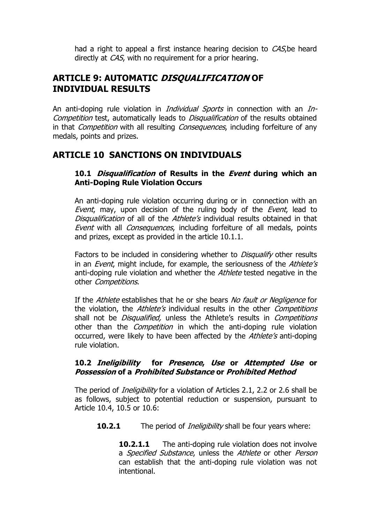had a right to appeal a first instance hearing decision to *CAS*, be heard directly at *CAS*, with no requirement for a prior hearing.

# **ARTICLE 9: AUTOMATIC DISQUALIFICATION OF INDIVIDUAL RESULTS**

An anti-doping rule violation in *Individual Sports* in connection with an *In-*Competition test, automatically leads to Disqualification of the results obtained in that *Competition* with all resulting *Consequences*, including forfeiture of any medals, points and prizes.

### **ARTICLE 10 SANCTIONS ON INDIVIDUALS**

#### **10.1 Disqualification of Results in the Event during which an Anti-Doping Rule Violation Occurs**

An anti-doping rule violation occurring during or in connection with an Event, may, upon decision of the ruling body of the Event, lead to Disqualification of all of the Athlete's individual results obtained in that Event with all Consequences, including forfeiture of all medals, points and prizes, except as provided in the article 10.1.1.

Factors to be included in considering whether to *Disqualify* other results in an *Event*, might include, for example, the seriousness of the Athlete's anti-doping rule violation and whether the *Athlete* tested negative in the other Competitions.

If the Athlete establishes that he or she bears No fault or Negligence for the violation, the *Athlete's* individual results in the other *Competitions* shall not be *Disqualified*, unless the Athlete's results in *Competitions* other than the *Competition* in which the anti-doping rule violation occurred, were likely to have been affected by the Athlete's anti-doping rule violation.

#### **10.2 Ineligibility for Presence, Use or Attempted Use or Possession of a Prohibited Substance or Prohibited Method**

The period of *Ineligibility* for a violation of Articles 2.1, 2.2 or 2.6 shall be as follows, subject to potential reduction or suspension, pursuant to Article 10.4, 10.5 or 10.6:

**10.2.1** The period of *Ineligibility* shall be four years where:

**10.2.1.1** The anti-doping rule violation does not involve a *Specified Substance*, unless the Athlete or other Person can establish that the anti-doping rule violation was not intentional.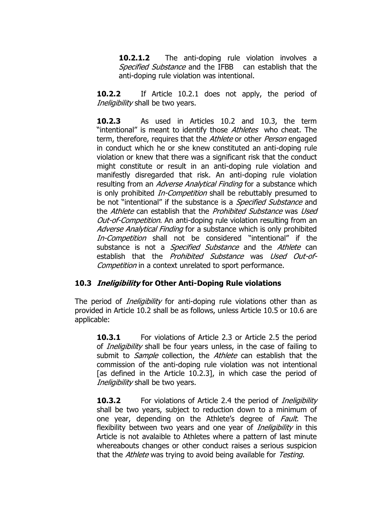**10.2.1.2** The anti-doping rule violation involves a Specified Substance and the IFBB can establish that the anti-doping rule violation was intentional.

**10.2.2** If Article 10.2.1 does not apply, the period of Ineligibility shall be two years.

**10.2.3** As used in Articles 10.2 and 10.3, the term "intentional" is meant to identify those Athletes who cheat. The term, therefore, requires that the Athlete or other Person engaged in conduct which he or she knew constituted an anti-doping rule violation or knew that there was a significant risk that the conduct might constitute or result in an anti-doping rule violation and manifestly disregarded that risk. An anti-doping rule violation resulting from an Adverse Analytical Finding for a substance which is only prohibited *In-Competition* shall be rebuttably presumed to be not "intentional" if the substance is a *Specified Substance* and the *Athlete* can establish that the *Prohibited Substance* was *Used* Out-of-Competition. An anti-doping rule violation resulting from an Adverse Analytical Finding for a substance which is only prohibited In-Competition shall not be considered "intentional" if the substance is not a *Specified Substance* and the Athlete can establish that the *Prohibited Substance* was Used Out-of-Competition in a context unrelated to sport performance.

### **10.3 Ineligibility for Other Anti-Doping Rule violations**

The period of *Ineligibility* for anti-doping rule violations other than as provided in Article 10.2 shall be as follows, unless Article 10.5 or 10.6 are applicable:

**10.3.1** For violations of Article 2.3 or Article 2.5 the period of *Ineligibility* shall be four years unless, in the case of failing to submit to *Sample* collection, the *Athlete* can establish that the commission of the anti-doping rule violation was not intentional [as defined in the Article 10.2.3], in which case the period of Ineligibility shall be two years.

**10.3.2** For violations of Article 2.4 the period of *Ineligibility* shall be two years, subject to reduction down to a minimum of one year, depending on the Athlete's degree of *Fault*. The flexibility between two years and one year of *Ineligibility* in this Article is not avalaible to Athletes where a pattern of last minute whereabouts changes or other conduct raises a serious suspicion that the *Athlete* was trying to avoid being available for Testing.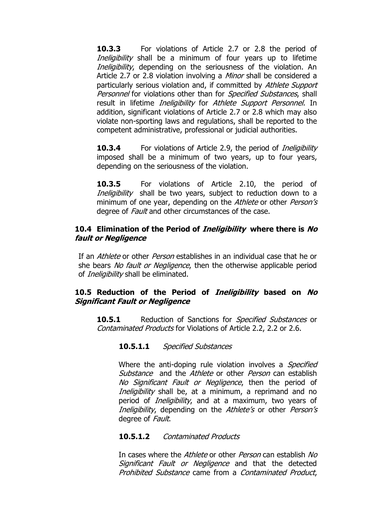**10.3.3** For violations of Article 2.7 or 2.8 the period of Ineligibility shall be a minimum of four years up to lifetime Ineligibility, depending on the seriousness of the violation. An Article 2.7 or 2.8 violation involving a *Minor* shall be considered a particularly serious violation and, if committed by Athlete Support Personnel for violations other than for Specified Substances, shall result in lifetime *Ineligibility* for Athlete Support Personnel. In addition, significant violations of Article 2.7 or 2.8 which may also violate non-sporting laws and regulations, shall be reported to the competent administrative, professional or judicial authorities.

**10.3.4** For violations of Article 2.9, the period of *Ineligibility* imposed shall be a minimum of two years, up to four years, depending on the seriousness of the violation.

**10.3.5** For violations of Article 2.10, the period of Ineligibility shall be two years, subject to reduction down to a minimum of one year, depending on the Athlete or other Person's degree of *Fault* and other circumstances of the case.

#### **10.4 Elimination of the Period of Ineligibility where there is No fault or Negligence**

If an Athlete or other Person establishes in an individual case that he or she bears No fault or Negligence, then the otherwise applicable period of *Ineligibility* shall be eliminated.

### **10.5 Reduction of the Period of Ineligibility based on No Significant Fault or Negligence**

**10.5.1** Reduction of Sanctions for *Specified Substances* or Contaminated Products for Violations of Article 2.2, 2.2 or 2.6.

#### **10.5.1.1** Specified Substances

Where the anti-doping rule violation involves a *Specified* Substance and the Athlete or other *Person* can establish No Significant Fault or Negligence, then the period of Ineligibility shall be, at a minimum, a reprimand and no period of *Ineligibility*, and at a maximum, two years of Ineligibility, depending on the Athlete's or other Person's degree of Fault.

#### **10.5.1.2** Contaminated Products

In cases where the *Athlete* or other *Person* can establish No Significant Fault or Negligence and that the detected Prohibited Substance came from a Contaminated Product,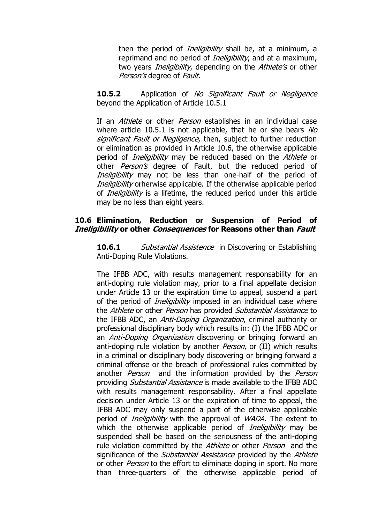then the period of *Ineligibility* shall be, at a minimum, a reprimand and no period of *Ineligibility*, and at a maximum, two years *Ineligibility*, depending on the *Athlete's* or other Person's degree of Fault.

**10.5.2** Application of No Significant Fault or Negligence beyond the Application of Article 10.5.1

If an *Athlete* or other *Person* establishes in an individual case where article 10.5.1 is not applicable, that he or she bears  $N_O$ significant Fault or Negligence, then, subject to further reduction or elimination as provided in Article 10.6, the otherwise applicable period of *Ineligibility* may be reduced based on the Athlete or other *Person's* degree of Fault, but the reduced period of Ineligibility may not be less than one-half of the period of Ineligibility orherwise applicable. If the otherwise applicable period of *Ineligibility* is a lifetime, the reduced period under this article may be no less than eight years.

#### **10.6 Elimination, Reduction or Suspension of Period of Ineligibility or other Consequences for Reasons other than Fault**

**10.6.1** Substantial Assistence in Discovering or Establishing Anti-Doping Rule Violations.

The IFBB ADC, with results management responsability for an anti-doping rule violation may, prior to a final appellate decision under Article 13 or the expiration time to appeal, suspend a part of the period of *Ineligibility* imposed in an individual case where the *Athlete* or other *Person* has provided *Substantial Assistance* to the IFBB ADC, an *Anti-Doping Organization*, criminal authority or professional disciplinary body which results in: (I) the IFBB ADC or an *Anti-Doping Organization* discovering or bringing forward an anti-doping rule violation by another *Person*, or (II) which results in a criminal or disciplinary body discovering or bringing forward a criminal offense or the breach of professional rules committed by another *Person* and the information provided by the *Person* providing *Substantial Assistance* is made available to the IFBB ADC with results management responsability. After a final appellate decision under Article 13 or the expiration of time to appeal, the IFBB ADC may only suspend a part of the otherwise applicable period of *Ineligibility* with the approval of *WADA*. The extent to which the otherwise applicable period of *Ineligibility* may be suspended shall be based on the seriousness of the anti-doping rule violation committed by the Athlete or other Person and the significance of the *Substantial Assistance* provided by the Athlete or other *Person* to the effort to eliminate doping in sport. No more than three-quarters of the otherwise applicable period of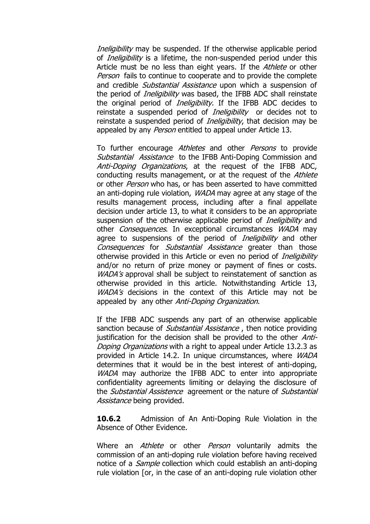Ineligibility may be suspended. If the otherwise applicable period of *Ineligibility* is a lifetime, the non-suspended period under this Article must be no less than eight years. If the *Athlete* or other Person fails to continue to cooperate and to provide the complete and credible *Substantial Assistance* upon which a suspension of the period of *Ineligibility* was based, the IFBB ADC shall reinstate the original period of *Ineligibility*. If the IFBB ADC decides to reinstate a suspended period of *Ineligibility* or decides not to reinstate a suspended period of *Ineligibility*, that decision may be appealed by any Person entitled to appeal under Article 13.

To further encourage Athletes and other Persons to provide Substantial Assistance to the IFBB Anti-Doping Commission and Anti-Doping Organizations, at the request of the IFBB ADC, conducting results management, or at the request of the Athlete or other *Person* who has, or has been asserted to have committed an anti-doping rule violation, WADA may agree at any stage of the results management process, including after a final appellate decision under article 13, to what it considers to be an appropriate suspension of the otherwise applicable period of *Ineligibility* and other *Consequences*. In exceptional circumstances *WADA* may agree to suspensions of the period of *Ineligibility* and other Consequences for Substantial Assistance greater than those otherwise provided in this Article or even no period of *Ineligibility* and/or no return of prize money or payment of fines or costs. WADA's approval shall be subject to reinstatement of sanction as otherwise provided in this article. Notwithstanding Article 13, WADA's decisions in the context of this Article may not be appealed by any other Anti-Doping Organization.

If the IFBB ADC suspends any part of an otherwise applicable sanction because of *Substantial Assistance*, then notice providing justification for the decision shall be provided to the other Anti-Doping Organizations with a right to appeal under Article 13.2.3 as provided in Article 14.2. In unique circumstances, where WADA determines that it would be in the best interest of anti-doping, WADA may authorize the IFBB ADC to enter into appropriate confidentiality agreements limiting or delaying the disclosure of the *Substantial Assistence* agreement or the nature of *Substantial* Assistance being provided.

**10.6.2** Admission of An Anti-Doping Rule Violation in the Absence of Other Evidence.

Where an *Athlete* or other *Person* voluntarily admits the commission of an anti-doping rule violation before having received notice of a *Sample* collection which could establish an anti-doping rule violation [or, in the case of an anti-doping rule violation other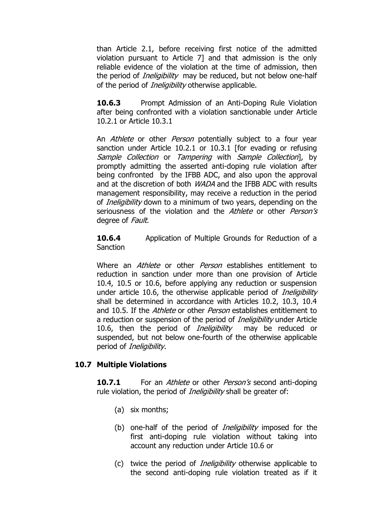than Article 2.1, before receiving first notice of the admitted violation pursuant to Article 7] and that admission is the only reliable evidence of the violation at the time of admission, then the period of *Ineligibility* may be reduced, but not below one-half of the period of *Ineligibility* otherwise applicable.

**10.6.3** Prompt Admission of an Anti-Doping Rule Violation after being confronted with a violation sanctionable under Article 10.2.1 or Article 10.3.1

An Athlete or other Person potentially subject to a four year sanction under Article 10.2.1 or 10.3.1 [for evading or refusing Sample Collection or Tampering with Sample Collection], by promptly admitting the asserted anti-doping rule violation after being confronted by the IFBB ADC, and also upon the approval and at the discretion of both *WADA* and the IFBB ADC with results management responsibility, may receive a reduction in the period of *Ineligibility* down to a minimum of two years, depending on the seriousness of the violation and the Athlete or other Person's degree of *Fault*.

**10.6.4** Application of Multiple Grounds for Reduction of a Sanction

Where an *Athlete* or other *Person* establishes entitlement to reduction in sanction under more than one provision of Article 10.4, 10.5 or 10.6, before applying any reduction or suspension under article 10.6, the otherwise applicable period of *Ineligibility* shall be determined in accordance with Articles 10.2, 10.3, 10.4 and 10.5. If the *Athlete* or other *Person* establishes entitlement to a reduction or suspension of the period of *Ineligibility* under Article 10.6, then the period of *Ineligibility* may be reduced or suspended, but not below one-fourth of the otherwise applicable period of *Ineligibility*.

#### **10.7 Multiple Violations**

**10.7.1** For an *Athlete* or other *Person's* second anti-doping rule violation, the period of *Ineligibility* shall be greater of:

- (a) six months;
- (b) one-half of the period of *Ineligibility* imposed for the first anti-doping rule violation without taking into account any reduction under Article 10.6 or
- (c) twice the period of Ineligibility otherwise applicable to the second anti-doping rule violation treated as if it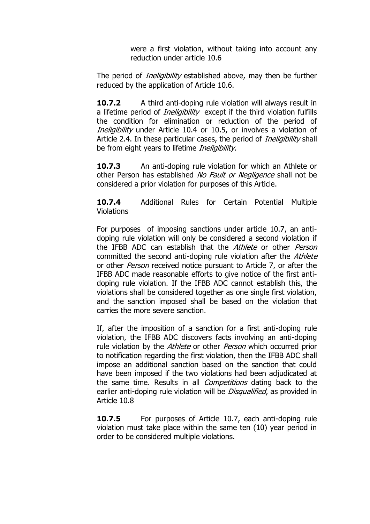were a first violation, without taking into account any reduction under article 10.6

The period of *Ineligibility* established above, may then be further reduced by the application of Article 10.6.

**10.7.2** A third anti-doping rule violation will always result in a lifetime period of *Ineligibility* except if the third violation fulfills the condition for elimination or reduction of the period of Ineligibility under Article 10.4 or 10.5, or involves a violation of Article 2.4. In these particular cases, the period of *Ineligibility* shall be from eight years to lifetime *Ineligibility*.

**10.7.3** An anti-doping rule violation for which an Athlete or other Person has established No Fault or Negligence shall not be considered a prior violation for purposes of this Article.

**10.7.4** Additional Rules for Certain Potential Multiple Violations

For purposes of imposing sanctions under article 10.7, an antidoping rule violation will only be considered a second violation if the IFBB ADC can establish that the *Athlete* or other *Person* committed the second anti-doping rule violation after the Athlete or other *Person* received notice pursuant to Article 7, or after the IFBB ADC made reasonable efforts to give notice of the first antidoping rule violation. If the IFBB ADC cannot establish this, the violations shall be considered together as one single first violation, and the sanction imposed shall be based on the violation that carries the more severe sanction.

If, after the imposition of a sanction for a first anti-doping rule violation, the IFBB ADC discovers facts involving an anti-doping rule violation by the *Athlete* or other *Person* which occurred prior to notification regarding the first violation, then the IFBB ADC shall impose an additional sanction based on the sanction that could have been imposed if the two violations had been adjudicated at the same time. Results in all *Competitions* dating back to the earlier anti-doping rule violation will be *Disqualified*, as provided in Article 10.8

**10.7.5** For purposes of Article 10.7, each anti-doping rule violation must take place within the same ten (10) year period in order to be considered multiple violations.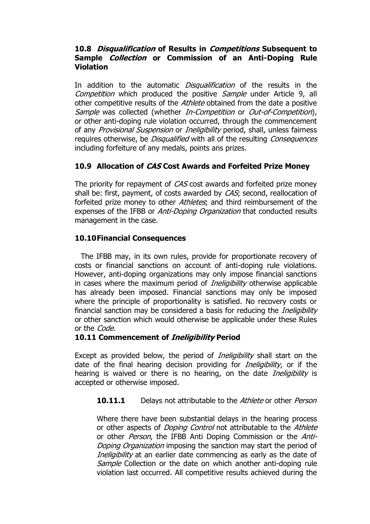#### **10.8 Disqualification of Results in Competitions Subsequent to Sample Collection or Commission of an Anti-Doping Rule Violation**

In addition to the automatic *Disqualification* of the results in the Competition which produced the positive Sample under Article 9, all other competitive results of the *Athlete* obtained from the date a positive Sample was collected (whether In-Competition or Out-of-Competition), or other anti-doping rule violation occurred, through the commencement of any Provisional Suspension or Ineligibility period, shall, unless fairness requires otherwise, be *Disqualified* with all of the resulting *Consequences* including forfeiture of any medals, points ans prizes.

### **10.9 Allocation of CAS Cost Awards and Forfeited Prize Money**

The priority for repayment of CAS cost awards and forfeited prize money shall be: first, payment, of costs awarded by CAS; second, reallocation of forfeited prize money to other Athletes; and third reimbursement of the expenses of the IFBB or *Anti-Doping Organization* that conducted results management in the case.

### **10.10Financial Consequences**

The IFBB may, in its own rules, provide for proportionate recovery of costs or financial sanctions on account of anti-doping rule violations. However, anti-doping organizations may only impose financial sanctions in cases where the maximum period of *Ineligibility* otherwise applicable has already been imposed. Financial sanctions may only be imposed where the principle of proportionality is satisfied. No recovery costs or financial sanction may be considered a basis for reducing the *Ineligibility* or other sanction which would otherwise be applicable under these Rules or the Code.

#### **10.11 Commencement of Ineligibility Period**

Except as provided below, the period of *Ineligibility* shall start on the date of the final hearing decision providing for *Ineligibility*, or if the hearing is waived or there is no hearing, on the date *Ineligibility* is accepted or otherwise imposed.

#### **10.11.1** Delays not attributable to the *Athlete* or other *Person*

Where there have been substantial delays in the hearing process or other aspects of *Doping Control* not attributable to the Athlete or other *Person*, the IFBB Anti Doping Commission or the *Anti-*Doping Organization imposing the sanction may start the period of Ineligibility at an earlier date commencing as early as the date of Sample Collection or the date on which another anti-doping rule violation last occurred. All competitive results achieved during the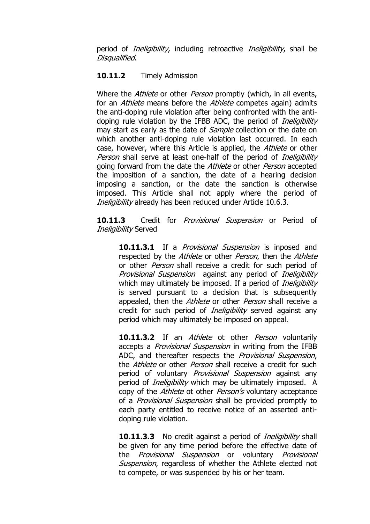period of *Ineligibility*, including retroactive *Ineligibility*, shall be Disqualified.

#### **10.11.2** Timely Admission

Where the *Athlete* or other *Person* promptly (which, in all events, for an *Athlete* means before the *Athlete* competes again) admits the anti-doping rule violation after being confronted with the antidoping rule violation by the IFBB ADC, the period of *Ineligibility* may start as early as the date of *Sample* collection or the date on which another anti-doping rule violation last occurred. In each case, however, where this Article is applied, the Athlete or other Person shall serve at least one-half of the period of *Ineligibility* going forward from the date the Athlete or other Person accepted the imposition of a sanction, the date of a hearing decision imposing a sanction, or the date the sanction is otherwise imposed. This Article shall not apply where the period of Ineligibility already has been reduced under Article 10.6.3.

10.11.3 Credit for *Provisional Suspension* or Period of Ineligibility Served

10.11.3.1 If a *Provisional Suspension* is inposed and respected by the *Athlete* or other *Person*, then the *Athlete* or other *Person* shall receive a credit for such period of Provisional Suspension against any period of *Ineligibility* which may ultimately be imposed. If a period of *Ineligibility* is served pursuant to a decision that is subsequently appealed, then the *Athlete* or other *Person* shall receive a credit for such period of *Ineligibility* served against any period which may ultimately be imposed on appeal.

**10.11.3.2** If an *Athlete* ot other *Person* voluntarily accepts a *Provisional Suspension* in writing from the IFBB ADC, and thereafter respects the *Provisional Suspension*, the *Athlete* or other *Person* shall receive a credit for such period of voluntary *Provisional Suspension* against any period of *Ineligibility* which may be ultimately imposed. A copy of the Athlete ot other Person's voluntary acceptance of a *Provisional Suspension* shall be provided promptly to each party entitled to receive notice of an asserted antidoping rule violation.

**10.11.3.3** No credit against a period of *Ineligibility* shall be given for any time period before the effective date of the Provisional Suspension or voluntary Provisional Suspension, regardless of whether the Athlete elected not to compete, or was suspended by his or her team.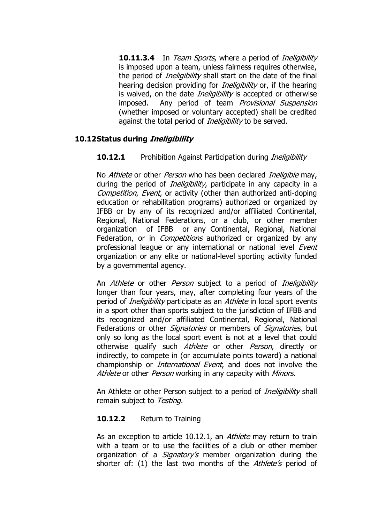**10.11.3.4** In Team Sports, where a period of *Ineligibility* is imposed upon a team, unless fairness requires otherwise, the period of *Ineligibility* shall start on the date of the final hearing decision providing for *Ineligibility* or, if the hearing is waived, on the date *Ineligibility* is accepted or otherwise imposed. Any period of team Provisional Suspension (whether imposed or voluntary accepted) shall be credited against the total period of *Ineligibility* to be served.

#### **10.12Status during Ineligibility**

### **10.12.1** Prohibition Against Participation during *Ineligibility*

No Athlete or other Person who has been declared Ineligible may, during the period of *Ineligibility*, participate in any capacity in a Competition, Event, or activity (other than authorized anti-doping education or rehabilitation programs) authorized or organized by IFBB or by any of its recognized and/or affiliated Continental, Regional, National Federations, or a club, or other member organization of IFBB or any Continental, Regional, National Federation, or in *Competitions* authorized or organized by any professional league or any international or national level Event organization or any elite or national-level sporting activity funded by a governmental agency.

An *Athlete* or other *Person* subject to a period of *Ineligibility* longer than four years, may, after completing four years of the period of *Ineligibility* participate as an *Athlete* in local sport events in a sport other than sports subject to the jurisdiction of IFBB and its recognized and/or affiliated Continental, Regional, National Federations or other *Signatories* or members of *Signatories*, but only so long as the local sport event is not at a level that could otherwise qualify such *Athlete* or other *Person*, directly or indirectly, to compete in (or accumulate points toward) a national championship or *International Event*, and does not involve the Athlete or other Person working in any capacity with Minors.

An Athlete or other Person subject to a period of *Ineligibility* shall remain subject to Testing.

#### **10.12.2** Return to Training

As an exception to article 10.12.1, an Athlete may return to train with a team or to use the facilities of a club or other member organization of a *Signatory's* member organization during the shorter of: (1) the last two months of the Athlete's period of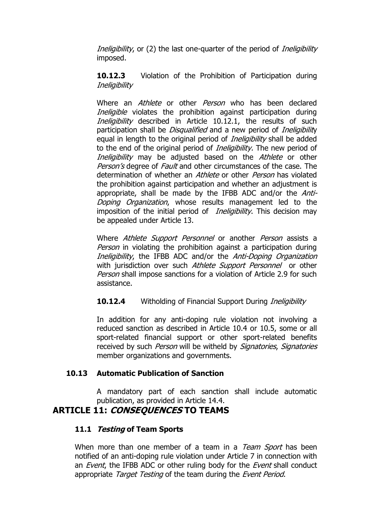Ineligibility, or (2) the last one-quarter of the period of *Ineligibility* imposed.

**10.12.3** Violation of the Prohibition of Participation during **Ineligibility** 

Where an *Athlete* or other *Person* who has been declared Ineligible violates the prohibition against participation during Ineligibility described in Article 10.12.1, the results of such participation shall be *Disqualified* and a new period of *Ineligibility* equal in length to the original period of *Ineligibility* shall be added to the end of the original period of *Ineligibility*. The new period of Ineligibility may be adjusted based on the Athlete or other Person's degree of Fault and other circumstances of the case. The determination of whether an *Athlete* or other *Person* has violated the prohibition against participation and whether an adjustment is appropriate, shall be made by the IFBB ADC and/or the Anti-Doping Organization, whose results management led to the imposition of the initial period of *Ineligibility*. This decision may be appealed under Article 13.

Where *Athlete Support Personnel* or another *Person* assists a Person in violating the prohibition against a participation during Ineligibility, the IFBB ADC and/or the Anti-Doping Organization with jurisdiction over such Athlete Support Personnel or other Person shall impose sanctions for a violation of Article 2.9 for such assistance.

#### **10.12.4** Witholding of Financial Support During *Ineligibility*

In addition for any anti-doping rule violation not involving a reduced sanction as described in Article 10.4 or 10.5, some or all sport-related financial support or other sport-related benefits received by such Person will be witheld by Signatories, Signatories member organizations and governments.

#### **10.13 Automatic Publication of Sanction**

A mandatory part of each sanction shall include automatic publication, as provided in Article 14.4.

### **ARTICLE 11: CONSEQUENCES TO TEAMS**

#### **11.1 Testing of Team Sports**

When more than one member of a team in a Team Sport has been notified of an anti-doping rule violation under Article 7 in connection with an *Event*, the IFBB ADC or other ruling body for the *Event* shall conduct appropriate Target Testing of the team during the Event Period.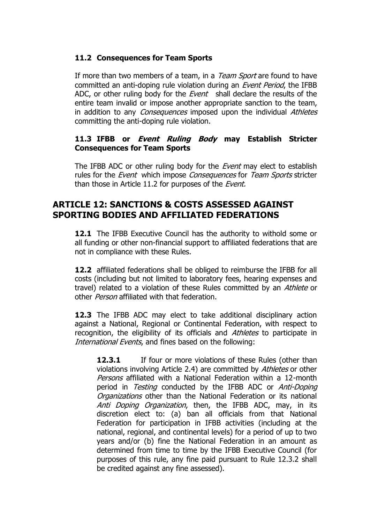### **11.2 Consequences for Team Sports**

If more than two members of a team, in a *Team Sport* are found to have committed an anti-doping rule violation during an Event Period, the IFBB ADC, or other ruling body for the *Event* shall declare the results of the entire team invalid or impose another appropriate sanction to the team, in addition to any *Consequences* imposed upon the individual Athletes committing the anti-doping rule violation.

### **11.3 IFBB or Event Ruling Body may Establish Stricter Consequences for Team Sports**

The IFBB ADC or other ruling body for the *Event* may elect to establish rules for the *Event* which impose *Consequences* for *Team Sports* stricter than those in Article 11.2 for purposes of the *Event*.

# **ARTICLE 12: SANCTIONS & COSTS ASSESSED AGAINST SPORTING BODIES AND AFFILIATED FEDERATIONS**

**12.1** The IFBB Executive Council has the authority to withold some or all funding or other non-financial support to affiliated federations that are not in compliance with these Rules.

**12.2** affiliated federations shall be obliged to reimburse the IFBB for all costs (including but not limited to laboratory fees, hearing expenses and travel) related to a violation of these Rules committed by an Athlete or other *Person* affiliated with that federation.

**12.3** The IFBB ADC may elect to take additional disciplinary action against a National, Regional or Continental Federation, with respect to recognition, the eligibility of its officials and Athletes to participate in International Events, and fines based on the following:

**12.3.1** If four or more violations of these Rules (other than violations involving Article 2.4) are committed by Athletes or other Persons affiliated with a National Federation within a 12-month period in *Testing* conducted by the IFBB ADC or *Anti-Doping* Organizations other than the National Federation or its national Anti Doping Organization, then, the IFBB ADC, may, in its discretion elect to: (a) ban all officials from that National Federation for participation in IFBB activities (including at the national, regional, and continental levels) for a period of up to two years and/or (b) fine the National Federation in an amount as determined from time to time by the IFBB Executive Council (for purposes of this rule, any fine paid pursuant to Rule 12.3.2 shall be credited against any fine assessed).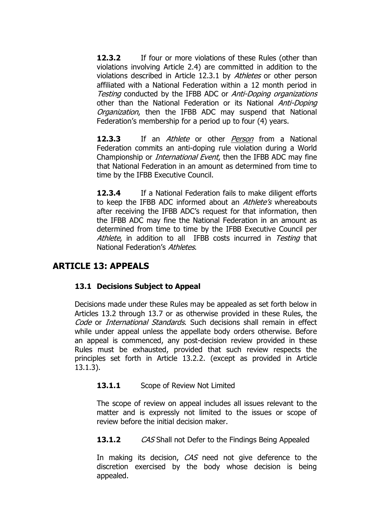**12.3.2** If four or more violations of these Rules (other than violations involving Article 2.4) are committed in addition to the violations described in Article 12.3.1 by Athletes or other person affiliated with a National Federation within a 12 month period in Testing conducted by the IFBB ADC or Anti-Doping organizations other than the National Federation or its National Anti-Doping Organization, then the IFBB ADC may suspend that National Federation's membership for a period up to four (4) years.

**12.3.3** If an *Athlete* or other *Person* from a National Federation commits an anti-doping rule violation during a World Championship or *International Event*, then the IFBB ADC may fine that National Federation in an amount as determined from time to time by the IFBB Executive Council.

**12.3.4** If a National Federation fails to make diligent efforts to keep the IFBB ADC informed about an *Athlete's* whereabouts after receiving the IFBB ADC"s request for that information, then the IFBB ADC may fine the National Federation in an amount as determined from time to time by the IFBB Executive Council per Athlete, in addition to all IFBB costs incurred in Testing that National Federation's Athletes.

## **ARTICLE 13: APPEALS**

#### **13.1 Decisions Subject to Appeal**

Decisions made under these Rules may be appealed as set forth below in Articles 13.2 through 13.7 or as otherwise provided in these Rules, the Code or *International Standards*. Such decisions shall remain in effect while under appeal unless the appellate body orders otherwise. Before an appeal is commenced, any post-decision review provided in these Rules must be exhausted, provided that such review respects the principles set forth in Article 13.2.2. (except as provided in Article 13.1.3).

#### 13.1.1 Scope of Review Not Limited

The scope of review on appeal includes all issues relevant to the matter and is expressly not limited to the issues or scope of review before the initial decision maker.

#### **13.1.2** CAS Shall not Defer to the Findings Being Appealed

In making its decision, CAS need not give deference to the discretion exercised by the body whose decision is being appealed.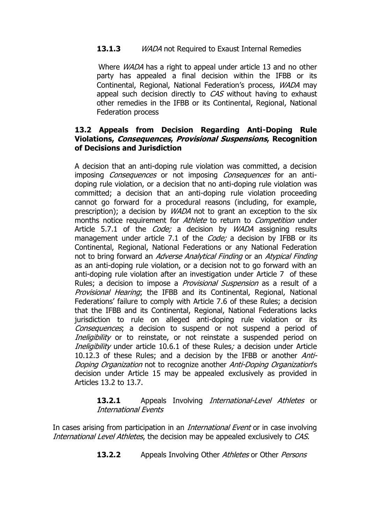### **13.1.3** WADA not Required to Exaust Internal Remedies

Where *WADA* has a right to appeal under article 13 and no other party has appealed a final decision within the IFBB or its Continental, Regional, National Federation's process, *WADA* may appeal such decision directly to CAS without having to exhaust other remedies in the IFBB or its Continental, Regional, National Federation process

#### **13.2 Appeals from Decision Regarding Anti-Doping Rule Violations, Consequences, Provisional Suspensions, Recognition of Decisions and Jurisdiction**

A decision that an anti-doping rule violation was committed, a decision imposing *Consequences* or not imposing *Consequences* for an antidoping rule violation, or a decision that no anti-doping rule violation was committed; a decision that an anti-doping rule violation proceeding cannot go forward for a procedural reasons (including, for example, prescription); a decision by WADA not to grant an exception to the six months notice requirement for *Athlete* to return to *Competition* under Article 5.7.1 of the *Code;* a decision by *WADA* assigning results management under article 7.1 of the *Code;* a decision by IFBB or its Continental, Regional, National Federations or any National Federation not to bring forward an Adverse Analytical Finding or an Atypical Finding as an anti-doping rule violation, or a decision not to go forward with an anti-doping rule violation after an investigation under Article 7 of these Rules; a decision to impose a *Provisional Suspension* as a result of a Provisional Hearing; the IFBB and its Continental, Regional, National Federations' failure to comply with Article 7.6 of these Rules; a decision that the IFBB and its Continental, Regional, National Federations lacks jurisdiction to rule on alleged anti-doping rule violation or its Consequences; a decision to suspend or not suspend a period of Ineligibility or to reinstate, or not reinstate a suspended period on Ineligibility under article 10.6.1 of these Rules; a decision under Article 10.12.3 of these Rules; and a decision by the IFBB or another *Anti-*Doping Organization not to recognize another Anti-Doping Organization's decision under Article 15 may be appealed exclusively as provided in Articles 13.2 to 13.7.

#### 13.2.1 Appeals Involving *International-Level Athletes* or International Events

In cases arising from participation in an *International Event* or in case involving International Level Athletes, the decision may be appealed exclusively to CAS.

**13.2.2** Appeals Involving Other Athletes or Other Persons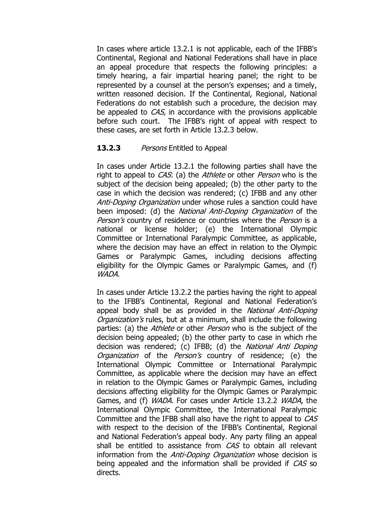In cases where article 13.2.1 is not applicable, each of the IFBB"s Continental, Regional and National Federations shall have in place an appeal procedure that respects the following principles: a timely hearing, a fair impartial hearing panel; the right to be represented by a counsel at the person's expenses; and a timely, written reasoned decision. If the Continental, Regional, National Federations do not establish such a procedure, the decision may be appealed to *CAS*, in accordance with the provisions applicable before such court. The IFBB"s right of appeal with respect to these cases, are set forth in Article 13.2.3 below.

#### **13.2.3** Persons Entitled to Appeal

In cases under Article 13.2.1 the following parties shall have the right to appeal to *CAS*: (a) the *Athlete* or other *Person* who is the subject of the decision being appealed; (b) the other party to the case in which the decision was rendered; (c) IFBB and any other Anti-Doping Organization under whose rules a sanction could have been imposed: (d) the *National Anti-Doping Organization* of the Person's country of residence or countries where the Person is a national or license holder; (e) the International Olympic Committee or International Paralympic Committee, as applicable, where the decision may have an effect in relation to the Olympic Games or Paralympic Games, including decisions affecting eligibility for the Olympic Games or Paralympic Games, and (f) WADA.

In cases under Article 13.2.2 the parties having the right to appeal to the IFBB"s Continental, Regional and National Federation"s appeal body shall be as provided in the National Anti-Doping Organization's rules, but at a minimum, shall include the following parties: (a) the *Athlete* or other *Person* who is the subject of the decision being appealed; (b) the other party to case in which rhe decision was rendered; (c) IFBB; (d) the National Anti Doping Organization of the Person's country of residence; (e) the International Olympic Committee or International Paralympic Committee, as applicable where the decision may have an effect in relation to the Olympic Games or Paralympic Games, including decisions affecting eligibility for the Olympic Games or Paralympic Games, and (f) WADA. For cases under Article 13.2.2 WADA, the International Olympic Committee, the International Paralympic Committee and the IFBB shall also have the right to appeal to CAS with respect to the decision of the IFBB's Continental, Regional and National Federation's appeal body. Any party filing an appeal shall be entitled to assistance from CAS to obtain all relevant information from the *Anti-Doping Organization* whose decision is being appealed and the information shall be provided if CAS so directs.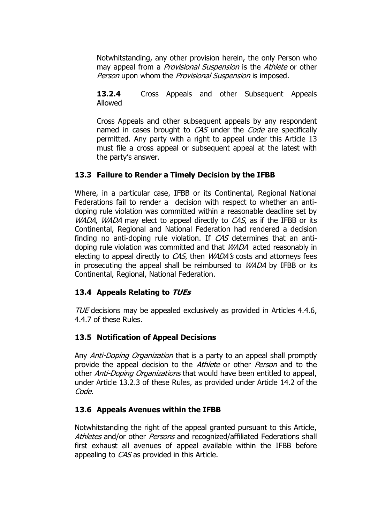Notwhitstanding, any other provision herein, the only Person who may appeal from a *Provisional Suspension* is the Athlete or other Person upon whom the Provisional Suspension is imposed.

**13.2.4** Cross Appeals and other Subsequent Appeals Allowed

Cross Appeals and other subsequent appeals by any respondent named in cases brought to CAS under the Code are specifically permitted. Any party with a right to appeal under this Article 13 must file a cross appeal or subsequent appeal at the latest with the party's answer.

### **13.3 Failure to Render a Timely Decision by the IFBB**

Where, in a particular case, IFBB or its Continental, Regional National Federations fail to render a decision with respect to whether an antidoping rule violation was committed within a reasonable deadline set by WADA, WADA may elect to appeal directly to CAS, as if the IFBB or its Continental, Regional and National Federation had rendered a decision finding no anti-doping rule violation. If CAS determines that an antidoping rule violation was committed and that WADA acted reasonably in electing to appeal directly to  $CAS$ , then  $WADA's$  costs and attorneys fees in prosecuting the appeal shall be reimbursed to *WADA* by IFBB or its Continental, Regional, National Federation.

### **13.4 Appeals Relating to TUEs**

TUE decisions may be appealed exclusively as provided in Articles 4.4.6, 4.4.7 of these Rules.

### **13.5 Notification of Appeal Decisions**

Any *Anti-Doping Organization* that is a party to an appeal shall promptly provide the appeal decision to the *Athlete* or other *Person* and to the other *Anti-Doping Organizations* that would have been entitled to appeal, under Article 13.2.3 of these Rules, as provided under Article 14.2 of the Code.

### **13.6 Appeals Avenues within the IFBB**

Notwhitstanding the right of the appeal granted pursuant to this Article, Athletes and/or other *Persons* and recognized/affiliated Federations shall first exhaust all avenues of appeal available within the IFBB before appealing to CAS as provided in this Article.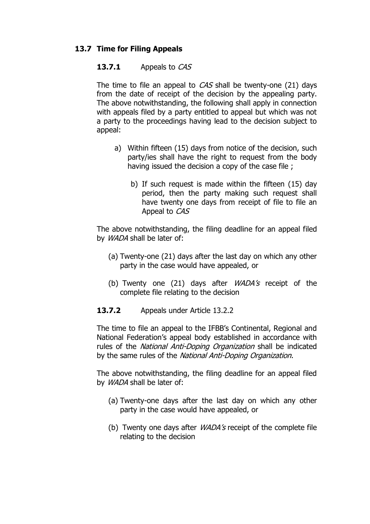### **13.7 Time for Filing Appeals**

#### **13.7.1** Appeals to CAS

The time to file an appeal to CAS shall be twenty-one (21) days from the date of receipt of the decision by the appealing party. The above notwithstanding, the following shall apply in connection with appeals filed by a party entitled to appeal but which was not a party to the proceedings having lead to the decision subject to appeal:

- a) Within fifteen (15) days from notice of the decision, such party/ies shall have the right to request from the body having issued the decision a copy of the case file ;
	- b) If such request is made within the fifteen (15) day period, then the party making such request shall have twenty one days from receipt of file to file an Appeal to CAS

The above notwithstanding, the filing deadline for an appeal filed by WADA shall be later of:

- (a) Twenty-one (21) days after the last day on which any other party in the case would have appealed, or
- (b) Twenty one  $(21)$  days after *WADA's* receipt of the complete file relating to the decision
- 13.7.2 Appeals under Article 13.2.2

The time to file an appeal to the IFBB"s Continental, Regional and National Federation"s appeal body established in accordance with rules of the *National Anti-Doping Organization* shall be indicated by the same rules of the National Anti-Doping Organization.

The above notwithstanding, the filing deadline for an appeal filed by WADA shall be later of:

- (a) Twenty-one days after the last day on which any other party in the case would have appealed, or
- (b) Twenty one days after *WADA's* receipt of the complete file relating to the decision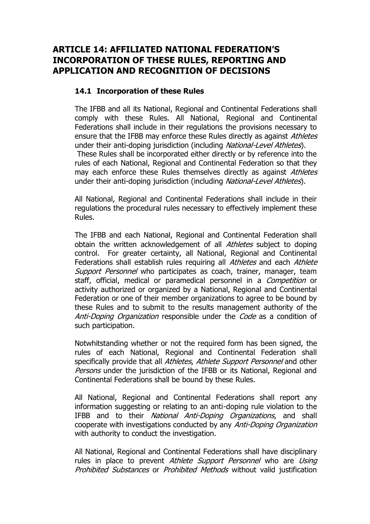# **ARTICLE 14: AFFILIATED NATIONAL FEDERATION"S INCORPORATION OF THESE RULES, REPORTING AND APPLICATION AND RECOGNITION OF DECISIONS**

#### **14.1 Incorporation of these Rules**

The IFBB and all its National, Regional and Continental Federations shall comply with these Rules. All National, Regional and Continental Federations shall include in their regulations the provisions necessary to ensure that the IFBB may enforce these Rules directly as against *Athletes* under their anti-doping jurisdiction (including National-Level Athletes). These Rules shall be incorporated either directly or by reference into the rules of each National, Regional and Continental Federation so that they may each enforce these Rules themselves directly as against Athletes under their anti-doping jurisdiction (including National-Level Athletes).

All National, Regional and Continental Federations shall include in their regulations the procedural rules necessary to effectively implement these Rules.

The IFBB and each National, Regional and Continental Federation shall obtain the written acknowledgement of all *Athletes* subject to doping control. For greater certainty, all National, Regional and Continental Federations shall establish rules requiring all Athletes and each Athlete Support Personnel who participates as coach, trainer, manager, team staff, official, medical or paramedical personnel in a *Competition* or activity authorized or organized by a National, Regional and Continental Federation or one of their member organizations to agree to be bound by these Rules and to submit to the results management authority of the Anti-Doping Organization responsible under the Code as a condition of such participation.

Notwhitstanding whether or not the required form has been signed, the rules of each National, Regional and Continental Federation shall specifically provide that all Athletes, Athlete Support Personnel and other Persons under the jurisdiction of the IFBB or its National, Regional and Continental Federations shall be bound by these Rules.

All National, Regional and Continental Federations shall report any information suggesting or relating to an anti-doping rule violation to the IFBB and to their National Anti-Doping Organizations, and shall cooperate with investigations conducted by any Anti-Doping Organization with authority to conduct the investigation.

All National, Regional and Continental Federations shall have disciplinary rules in place to prevent Athlete Support Personnel who are Using Prohibited Substances or Prohibited Methods without valid justification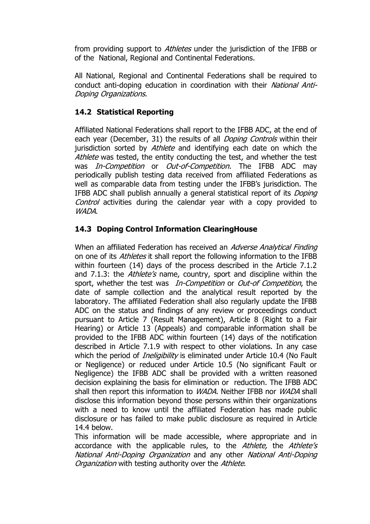from providing support to *Athletes* under the jurisdiction of the IFBB or of the National, Regional and Continental Federations.

All National, Regional and Continental Federations shall be required to conduct anti-doping education in coordination with their National Anti-Doping Organizations.

### **14.2 Statistical Reporting**

Affiliated National Federations shall report to the IFBB ADC, at the end of each year (December, 31) the results of all *Doping Controls* within their jurisdiction sorted by Athlete and identifying each date on which the Athlete was tested, the entity conducting the test, and whether the test was *In-Competition* or *Out-of-Competition*. The IFBB ADC may periodically publish testing data received from affiliated Federations as well as comparable data from testing under the IFBB"s jurisdiction. The IFBB ADC shall publish annually a general statistical report of its Doping Control activities during the calendar year with a copy provided to WADA.

### **14.3 Doping Control Information ClearingHouse**

When an affiliated Federation has received an Adverse Analytical Finding on one of its *Athletes* it shall report the following information to the IFBB within fourteen (14) days of the process described in the Article 7.1.2 and 7.1.3: the *Athlete's* name, country, sport and discipline within the sport, whether the test was *In-Competition* or *Out-of Competition*, the date of sample collection and the analytical result reported by the laboratory. The affiliated Federation shall also regularly update the IFBB ADC on the status and findings of any review or proceedings conduct pursuant to Article 7 (Result Management), Article 8 (Right to a Fair Hearing) or Article 13 (Appeals) and comparable information shall be provided to the IFBB ADC within fourteen (14) days of the notification described in Article 7.1.9 with respect to other violations. In any case which the period of *Ineligibility* is eliminated under Article 10.4 (No Fault or Negligence) or reduced under Article 10.5 (No significant Fault or Negligence) the IFBB ADC shall be provided with a written reasoned decision explaining the basis for elimination or reduction. The IFBB ADC shall then report this information to *WADA*. Neither IFBB nor *WADA* shall disclose this information beyond those persons within their organizations with a need to know until the affiliated Federation has made public disclosure or has failed to make public disclosure as required in Article 14.4 below.

This information will be made accessible, where appropriate and in accordance with the applicable rules, to the Athlete, the Athlete's National Anti-Doping Organization and any other National Anti-Doping Organization with testing authority over the Athlete.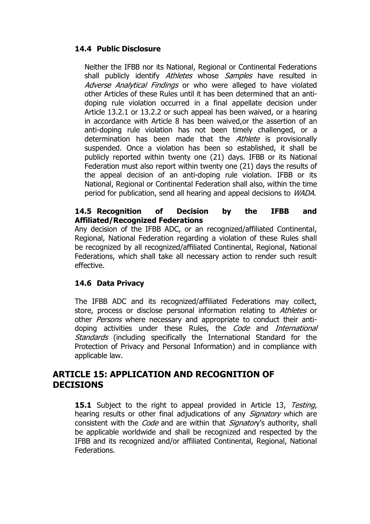### **14.4 Public Disclosure**

Neither the IFBB nor its National, Regional or Continental Federations shall publicly identify Athletes whose Samples have resulted in Adverse Analytical Findings or who were alleged to have violated other Articles of these Rules until it has been determined that an antidoping rule violation occurred in a final appellate decision under Article 13.2.1 or 13.2.2 or such appeal has been waived, or a hearing in accordance with Article 8 has been waived,or the assertion of an anti-doping rule violation has not been timely challenged, or a determination has been made that the *Athlete* is provisionally suspended. Once a violation has been so established, it shall be publicly reported within twenty one (21) days. IFBB or its National Federation must also report within twenty one (21) days the results of the appeal decision of an anti-doping rule violation. IFBB or its National, Regional or Continental Federation shall also, within the time period for publication, send all hearing and appeal decisions to WADA.

#### **14.5 Recognition of Decision by the IFBB and Affiliated/Recognized Federations**

Any decision of the IFBB ADC, or an recognized/affiliated Continental, Regional, National Federation regarding a violation of these Rules shall be recognized by all recognized/affiliated Continental, Regional, National Federations, which shall take all necessary action to render such result effective.

#### **14.6 Data Privacy**

The IFBB ADC and its recognized/affiliated Federations may collect, store, process or disclose personal information relating to Athletes or other *Persons* where necessary and appropriate to conduct their antidoping activities under these Rules, the Code and International Standards (including specifically the International Standard for the Protection of Privacy and Personal Information) and in compliance with applicable law.

### **ARTICLE 15: APPLICATION AND RECOGNITION OF DECISIONS**

**15.1** Subject to the right to appeal provided in Article 13, Testing, hearing results or other final adjudications of any *Signatory* which are consistent with the *Code* and are within that *Signatory's* authority, shall be applicable worldwide and shall be recognized and respected by the IFBB and its recognized and/or affiliated Continental, Regional, National Federations.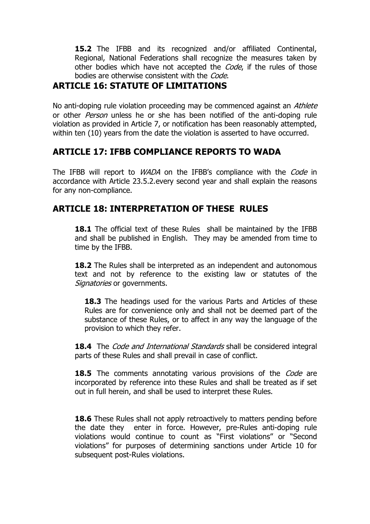**15.2** The IFBB and its recognized and/or affiliated Continental, Regional, National Federations shall recognize the measures taken by other bodies which have not accepted the *Code*, if the rules of those bodies are otherwise consistent with the Code.

# **ARTICLE 16: STATUTE OF LIMITATIONS**

No anti-doping rule violation proceeding may be commenced against an *Athlete* or other *Person* unless he or she has been notified of the anti-doping rule violation as provided in Article 7, or notification has been reasonably attempted, within ten (10) years from the date the violation is asserted to have occurred.

# **ARTICLE 17: IFBB COMPLIANCE REPORTS TO WADA**

The IFBB will report to *WADA* on the IFBB's compliance with the *Code* in accordance with Article 23.5.2.every second year and shall explain the reasons for any non-compliance.

# **ARTICLE 18: INTERPRETATION OF THESE RULES**

**18.1** The official text of these Rules shall be maintained by the IFBB and shall be published in English. They may be amended from time to time by the IFBB.

**18.2** The Rules shall be interpreted as an independent and autonomous text and not by reference to the existing law or statutes of the Signatories or governments.

**18.3** The headings used for the various Parts and Articles of these Rules are for convenience only and shall not be deemed part of the substance of these Rules, or to affect in any way the language of the provision to which they refer.

**18.4** The *Code and International Standards* shall be considered integral parts of these Rules and shall prevail in case of conflict.

**18.5** The comments annotating various provisions of the *Code* are incorporated by reference into these Rules and shall be treated as if set out in full herein, and shall be used to interpret these Rules.

**18.6** These Rules shall not apply retroactively to matters pending before the date they enter in force. However, pre-Rules anti-doping rule violations would continue to count as "First violations" or "Second violations" for purposes of determining sanctions under Article 10 for subsequent post-Rules violations.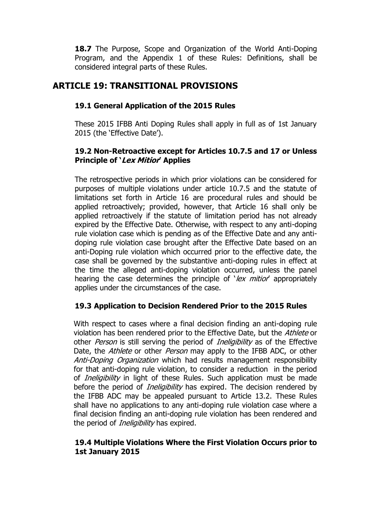18.7 The Purpose, Scope and Organization of the World Anti-Doping Program, and the Appendix 1 of these Rules: Definitions, shall be considered integral parts of these Rules.

# **ARTICLE 19: TRANSITIONAL PROVISIONS**

### **19.1 General Application of the 2015 Rules**

These 2015 IFBB Anti Doping Rules shall apply in full as of 1st January 2015 (the 'Effective Date').

### **19.2 Non-Retroactive except for Articles 10.7.5 and 17 or Unless Principle of "Lex Mitior" Applies**

The retrospective periods in which prior violations can be considered for purposes of multiple violations under article 10.7.5 and the statute of limitations set forth in Article 16 are procedural rules and should be applied retroactively; provided, however, that Article 16 shall only be applied retroactively if the statute of limitation period has not already expired by the Effective Date. Otherwise, with respect to any anti-doping rule violation case which is pending as of the Effective Date and any antidoping rule violation case brought after the Effective Date based on an anti-Doping rule violation which occurred prior to the effective date, the case shall be governed by the substantive anti-doping rules in effect at the time the alleged anti-doping violation occurred, unless the panel hearing the case determines the principle of  $\text{C}$  lex mitior appropriately applies under the circumstances of the case.

#### **19.3 Application to Decision Rendered Prior to the 2015 Rules**

With respect to cases where a final decision finding an anti-doping rule violation has been rendered prior to the Effective Date, but the Athlete or other *Person* is still serving the period of *Ineligibility* as of the Effective Date, the Athlete or other Person may apply to the IFBB ADC, or other Anti-Doping Organization which had results management responsibility for that anti-doping rule violation, to consider a reduction in the period of *Ineligibility* in light of these Rules. Such application must be made before the period of *Ineligibility* has expired. The decision rendered by the IFBB ADC may be appealed pursuant to Article 13.2. These Rules shall have no applications to any anti-doping rule violation case where a final decision finding an anti-doping rule violation has been rendered and the period of *Ineligibility* has expired.

#### **19.4 Multiple Violations Where the First Violation Occurs prior to 1st January 2015**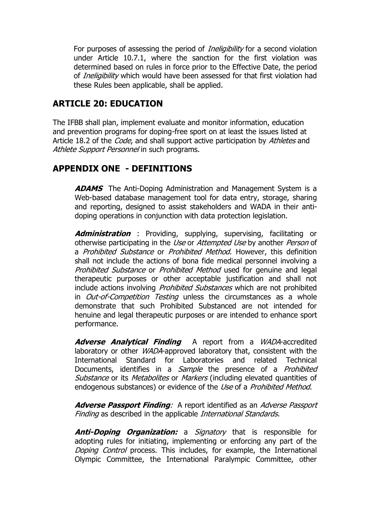For purposes of assessing the period of *Ineligibility* for a second violation under Article 10.7.1, where the sanction for the first violation was determined based on rules in force prior to the Effective Date, the period of *Ineligibility* which would have been assessed for that first violation had these Rules been applicable, shall be applied.

# **ARTICLE 20: EDUCATION**

The IFBB shall plan, implement evaluate and monitor information, education and prevention programs for doping-free sport on at least the issues listed at Article 18.2 of the *Code*, and shall support active participation by Athletes and Athlete Support Personnel in such programs.

## **APPENDIX ONE - DEFINITIONS**

**ADAMS** The Anti-Doping Administration and Management System is a Web-based database management tool for data entry, storage, sharing and reporting, designed to assist stakeholders and WADA in their antidoping operations in conjunction with data protection legislation.

**Administration** : Providing, supplying, supervising, facilitating or otherwise participating in the Use or Attempted Use by another Person of a *Prohibited Substance* or *Prohibited Method*. However, this definition shall not include the actions of bona fide medical personnel involving a Prohibited Substance or Prohibited Method used for genuine and legal therapeutic purposes or other acceptable justification and shall not include actions involving *Prohibited Substances* which are not prohibited in *Out-of-Competition Testing* unless the circumstances as a whole demonstrate that such Prohibited Substanced are not intended for henuine and legal therapeutic purposes or are intended to enhance sport performance.

**Adverse Analytical Finding** A report from a WADA-accredited laboratory or other WADA-approved laboratory that, consistent with the International Standard for Laboratories and related Technical Documents, identifies in a *Sample* the presence of a *Prohibited* Substance or its Metabolites or Markers (including elevated quantities of endogenous substances) or evidence of the Use of a Prohibited Method.

**Adverse Passport Finding**: A report identified as an Adverse Passport Finding as described in the applicable International Standards.

**Anti-Doping Organization:** a Signatory that is responsible for adopting rules for initiating, implementing or enforcing any part of the Doping Control process. This includes, for example, the International Olympic Committee, the International Paralympic Committee, other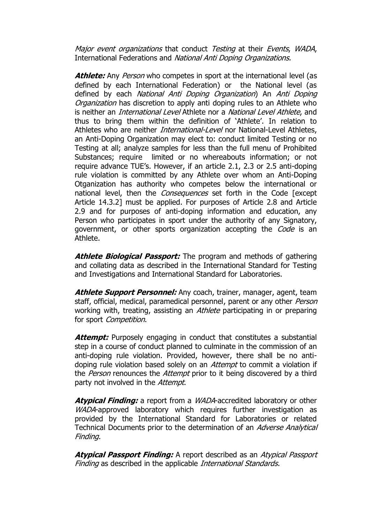Major event organizations that conduct Testing at their Events, WADA, International Federations and National Anti Doping Organizations.

Athlete: Any Person who competes in sport at the international level (as defined by each International Federation) or the National level (as defined by each National Anti Doping Organization) An Anti Doping Organization has discretion to apply anti doping rules to an Athlete who is neither an *International Level* Athlete nor a *National Level Athlete*, and thus to bring them within the definition of "Athlete". In relation to Athletes who are neither *International-Level* nor National-Level Athletes, an Anti-Doping Organization may elect to: conduct limited Testing or no Testing at all; analyze samples for less than the full menu of Prohibited Substances; require limited or no whereabouts information; or not require advance TUE's. However, if an article 2.1, 2.3 or 2.5 anti-doping rule violation is committed by any Athlete over whom an Anti-Doping Otganization has authority who competes below the international or national level, then the *Consequences* set forth in the Code [except Article 14.3.2] must be applied. For purposes of Article 2.8 and Article 2.9 and for purposes of anti-doping information and education, any Person who participates in sport under the authority of any Signatory, government, or other sports organization accepting the Code is an Athlete.

Athlete Biological Passport: The program and methods of gathering and collating data as described in the International Standard for Testing and Investigations and International Standard for Laboratories.

**Athlete Support Personnel:** Any coach, trainer, manager, agent, team staff, official, medical, paramedical personnel, parent or any other *Person* working with, treating, assisting an *Athlete* participating in or preparing for sport Competition.

Attempt: Purposely engaging in conduct that constitutes a substantial step in a course of conduct planned to culminate in the commission of an anti-doping rule violation. Provided, however, there shall be no antidoping rule violation based solely on an *Attempt* to commit a violation if the *Person* renounces the *Attempt* prior to it being discovered by a third party not involved in the Attempt.

**Atypical Finding:** a report from a WADA-accredited laboratory or other WADA-approved laboratory which requires further investigation as provided by the International Standard for Laboratories or related Technical Documents prior to the determination of an Adverse Analytical Finding.

**Atypical Passport Finding:** A report described as an Atypical Passport Finding as described in the applicable *International Standards*.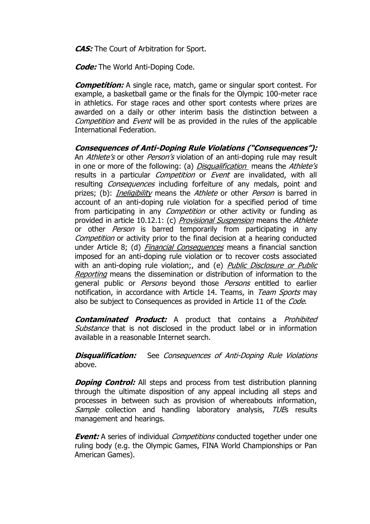**CAS:** The Court of Arbitration for Sport.

**Code:** The World Anti-Doping Code.

**Competition:** A single race, match, game or singular sport contest. For example, a basketball game or the finals for the Olympic 100-meter race in athletics. For stage races and other sport contests where prizes are awarded on a daily or other interim basis the distinction between a Competition and Event will be as provided in the rules of the applicable International Federation.

**Consequences of Anti-Doping Rule Violations ("Consequences"):** An *Athlete's* or other *Person's* violation of an anti-doping rule may result in one or more of the following: (a) *Disqualification* means the Athlete's results in a particular *Competition* or *Event* are invalidated, with all resulting *Consequences* including forfeiture of any medals, point and prizes; (b): *Ineligibility* means the *Athlete* or other *Person* is barred in account of an anti-doping rule violation for a specified period of time from participating in any *Competition* or other activity or funding as provided in article 10.12.1: (c) Provisional Suspension means the Athlete or other *Person* is barred temporarily from participating in any Competition or activity prior to the final decision at a hearing conducted under Article 8; (d) *Financial Consequences* means a financial sanction imposed for an anti-doping rule violation or to recover costs associated with an anti-doping rule violation;, and (e) Public Disclosure or Public Reporting means the dissemination or distribution of information to the general public or *Persons* beyond those *Persons* entitled to earlier notification, in accordance with Article 14. Teams, in Team Sports may also be subject to Consequences as provided in Article 11 of the Code.

**Contaminated Product:** A product that contains a Prohibited Substance that is not disclosed in the product label or in information available in a reasonable Internet search.

**Disqualification:** See Consequences of Anti-Doping Rule Violations above.

**Doping Control:** All steps and process from test distribution planning through the ultimate disposition of any appeal including all steps and processes in between such as provision of whereabouts information, Sample collection and handling laboratory analysis, TUEs results management and hearings.

**Event:** A series of individual Competitions conducted together under one ruling body (e.g. the Olympic Games, FINA World Championships or Pan American Games).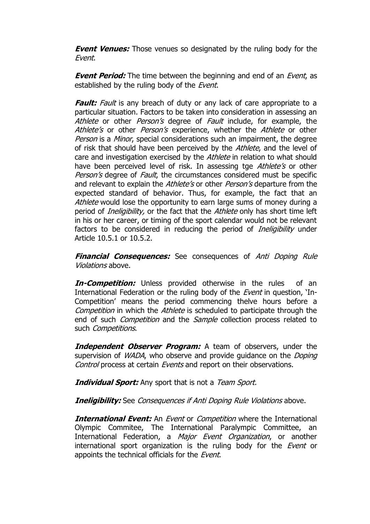**Event Venues:** Those venues so designated by the ruling body for the Event.

**Event Period:** The time between the beginning and end of an *Event*, as established by the ruling body of the Event.

**Fault:** Fault is any breach of duty or any lack of care appropriate to a particular situation. Factors to be taken into consideration in assessing an Athlete or other *Person's* degree of *Fault* include, for example, the Athlete's or other Person's experience, whether the Athlete or other Person is a Minor, special considerations such an impairment, the degree of risk that should have been perceived by the *Athlete*, and the level of care and investigation exercised by the Athlete in relation to what should have been perceived level of risk. In assessing tge *Athlete's* or other Person's degree of Fault, the circumstances considered must be specific and relevant to explain the Athlete's or other Person's departure from the expected standard of behavior. Thus, for example, the fact that an Athlete would lose the opportunity to earn large sums of money during a period of *Ineligibility*, or the fact that the *Athlete* only has short time left in his or her career, or timing of the sport calendar would not be relevant factors to be considered in reducing the period of *Ineligibility* under Article 10.5.1 or 10.5.2.

**Financial Consequences:** See consequences of Anti Doping Rule Violations above.

**In-Competition:** Unless provided otherwise in the rules of an International Federation or the ruling body of the *Event* in question, 'In-Competition" means the period commencing thelve hours before a Competition in which the *Athlete* is scheduled to participate through the end of such *Competition* and the *Sample* collection process related to such *Competitions*.

**Independent Observer Program:** A team of observers, under the supervision of *WADA*, who observe and provide guidance on the *Doping* Control process at certain Events and report on their observations.

**Individual Sport:** Any sport that is not a Team Sport.

**Ineligibility:** See Consequences if Anti Doping Rule Violations above.

**International Event:** An *Event* or *Competition* where the International Olympic Commitee, The International Paralympic Committee, an International Federation, a *Major Event Organization*, or another international sport organization is the ruling body for the *Event* or appoints the technical officials for the Event.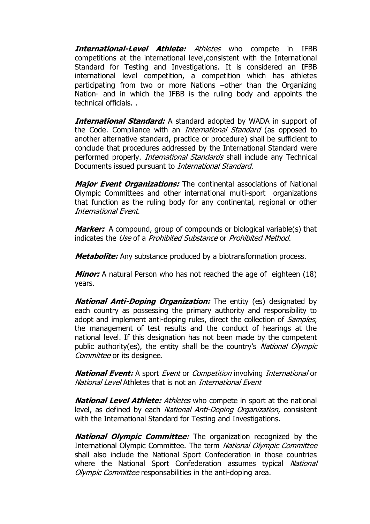**International-Level Athlete:** Athletes who compete in IFBB competitions at the international level,consistent with the International Standard for Testing and Investigations. It is considered an IFBB international level competition, a competition which has athletes participating from two or more Nations –other than the Organizing Nation- and in which the IFBB is the ruling body and appoints the technical officials. .

**International Standard:** A standard adopted by WADA in support of the Code. Compliance with an *International Standard* (as opposed to another alternative standard, practice or procedure) shall be sufficient to conclude that procedures addressed by the International Standard were performed properly. *International Standards* shall include any Technical Documents issued pursuant to International Standard.

**Major Event Organizations:** The continental associations of National Olympic Committees and other international multi-sport organizations that function as the ruling body for any continental, regional or other International Event.

**Marker:** A compound, group of compounds or biological variable(s) that indicates the Use of a Prohibited Substance or Prohibited Method.

**Metabolite:** Any substance produced by a biotransformation process.

**Minor:** A natural Person who has not reached the age of eighteen (18) years.

**National Anti-Doping Organization:** The entity (es) designated by each country as possessing the primary authority and responsibility to adopt and implement anti-doping rules, direct the collection of *Samples*, the management of test results and the conduct of hearings at the national level. If this designation has not been made by the competent public authority(es), the entity shall be the country's National Olympic Committee or its designee.

**National Event:** A sport Event or Competition involving International or National Level Athletes that is not an International Event

**National Level Athlete:** Athletes who compete in sport at the national level, as defined by each National Anti-Doping Organization, consistent with the International Standard for Testing and Investigations.

**National Olympic Committee:** The organization recognized by the International Olympic Committee. The term National Olympic Committee shall also include the National Sport Confederation in those countries where the National Sport Confederation assumes typical National Olympic Committee responsabilities in the anti-doping area.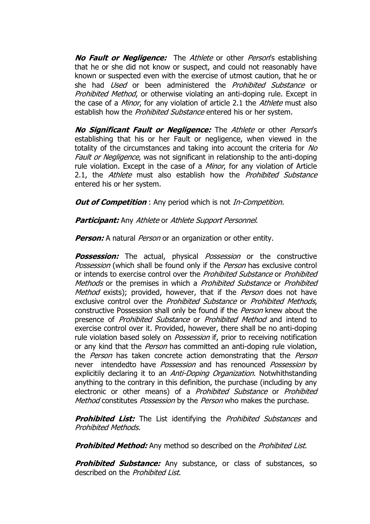**No Fault or Negligence:** The Athlete or other Person's establishing that he or she did not know or suspect, and could not reasonably have known or suspected even with the exercise of utmost caution, that he or she had *Used* or been administered the *Prohibited Substance* or Prohibited Method, or otherwise violating an anti-doping rule. Except in the case of a *Minor*, for any violation of article 2.1 the *Athlete* must also establish how the *Prohibited Substance* entered his or her system.

**No Significant Fault or Negligence:** The Athlete or other Person"s establishing that his or her Fault or negligence, when viewed in the totality of the circumstances and taking into account the criteria for No Fault or Negligence, was not significant in relationship to the anti-doping rule violation. Except in the case of a *Minor*, for any violation of Article 2.1, the Athlete must also establish how the Prohibited Substance entered his or her system.

*Out of Competition*: Any period which is not *In-Competition.* 

**Participant:** Any Athlete or Athlete Support Personnel.

**Person:** A natural *Person* or an organization or other entity.

**Possession:** The actual, physical *Possession* or the constructive Possession (which shall be found only if the Person has exclusive control or intends to exercise control over the *Prohibited Substance* or *Prohibited* Methods or the premises in which a *Prohibited Substance* or *Prohibited* Method exists); provided, however, that if the Person does not have exclusive control over the Prohibited Substance or Prohibited Methods, constructive Possession shall only be found if the Person knew about the presence of Prohibited Substance or Prohibited Method and intend to exercise control over it. Provided, however, there shall be no anti-doping rule violation based solely on *Possession* if, prior to receiving notification or any kind that the *Person* has committed an anti-doping rule violation, the *Person* has taken concrete action demonstrating that the *Person* never intendedto have *Possession* and has renounced *Possession* by explicitily declaring it to an *Anti-Doping Organization*. Notwhithstanding anything to the contrary in this definition, the purchase (including by any electronic or other means) of a *Prohibited Substance* or *Prohibited* Method constitutes Possession by the Person who makes the purchase.

**Prohibited List:** The List identifying the *Prohibited Substances* and Prohibited Methods.

**Prohibited Method:** Any method so described on the *Prohibited List*.

**Prohibited Substance:** Any substance, or class of substances, so described on the Prohibited List.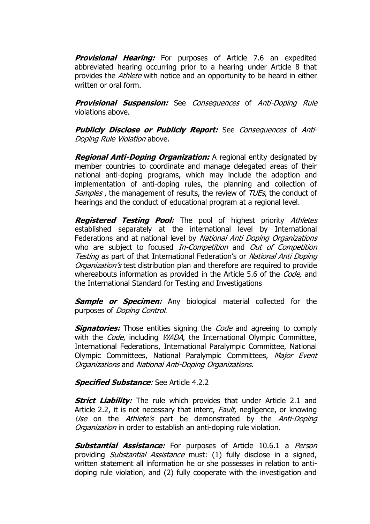**Provisional Hearing:** For purposes of Article 7.6 an expedited abbreviated hearing occurring prior to a hearing under Article 8 that provides the *Athlete* with notice and an opportunity to be heard in either written or oral form.

**Provisional Suspension:** See Consequences of Anti-Doping Rule violations above.

**Publicly Disclose or Publicly Report:** See Consequences of Anti-Doping Rule Violation above.

**Regional Anti-Doping Organization:** A regional entity designated by member countries to coordinate and manage delegated areas of their national anti-doping programs, which may include the adoption and implementation of anti-doping rules, the planning and collection of Samples, the management of results, the review of TUEs, the conduct of hearings and the conduct of educational program at a regional level.

**Registered Testing Pool:** The pool of highest priority Athletes established separately at the international level by International Federations and at national level by National Anti Doping Organizations who are subject to focused *In-Competition* and *Out of Competition* Testing as part of that International Federation's or National Anti Doping Organization's test distribution plan and therefore are required to provide whereabouts information as provided in the Article 5.6 of the *Code*, and the International Standard for Testing and Investigations

**Sample or Specimen:** Any biological material collected for the purposes of Doping Control.

**Signatories:** Those entities signing the *Code* and agreeing to comply with the *Code*, including *WADA*, the International Olympic Committee, International Federations, International Paralympic Committee, National Olympic Committees, National Paralympic Committees, Major Event Organizations and National Anti-Doping Organizations.

#### **Specified Substance**: See Article 4.2.2

**Strict Liability:** The rule which provides that under Article 2.1 and Article 2.2, it is not necessary that intent, *Fault*, negligence, or knowing Use on the Athlete's part be demonstrated by the Anti-Doping Organization in order to establish an anti-doping rule violation.

**Substantial Assistance:** For purposes of Article 10.6.1 a Person providing *Substantial Assistance* must: (1) fully disclose in a signed, written statement all information he or she possesses in relation to antidoping rule violation, and (2) fully cooperate with the investigation and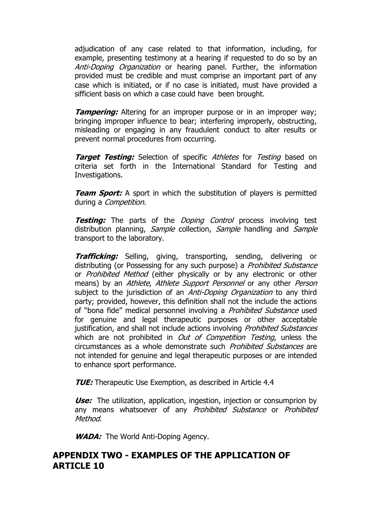adjudication of any case related to that information, including, for example, presenting testimony at a hearing if requested to do so by an Anti-Doping Organization or hearing panel. Further, the information provided must be credible and must comprise an important part of any case which is initiated, or if no case is initiated, must have provided a sifficient basis on which a case could have been brought.

**Tampering:** Altering for an improper purpose or in an improper way; bringing improper influence to bear; interfering improperly, obstructing, misleading or engaging in any fraudulent conduct to alter results or prevent normal procedures from occurring.

**Target Testing:** Selection of specific Athletes for Testing based on criteria set forth in the International Standard for Testing and Investigations.

**Team Sport:** A sport in which the substitution of players is permitted during a *Competition*.

**Testing:** The parts of the *Doping Control* process involving test distribution planning, *Sample* collection, *Sample* handling and *Sample* transport to the laboratory.

**Trafficking:** Selling, giving, transporting, sending, delivering or distributing (or Possessing for any such purpose) a *Prohibited Substance* or *Prohibited Method* (either physically or by any electronic or other means) by an Athlete, Athlete Support Personnel or any other Person subject to the jurisdiction of an *Anti-Doping Organization* to any third party; provided, however, this definition shall not the include the actions of "bona fide" medical personnel involving a Prohibited Substance used for genuine and legal therapeutic purposes or other acceptable justification, and shall not include actions involving *Prohibited Substances* which are not prohibited in *Out of Competition Testing*, unless the circumstances as a whole demonstrate such Prohibited Substances are not intended for genuine and legal therapeutic purposes or are intended to enhance sport performance.

**TUE:** Therapeutic Use Exemption, as described in Article 4.4

**Use:** The utilization, application, ingestion, injection or consumprion by any means whatsoever of any Prohibited Substance or Prohibited Method.

*WADA:* The World Anti-Doping Agency.

## **APPENDIX TWO - EXAMPLES OF THE APPLICATION OF ARTICLE 10**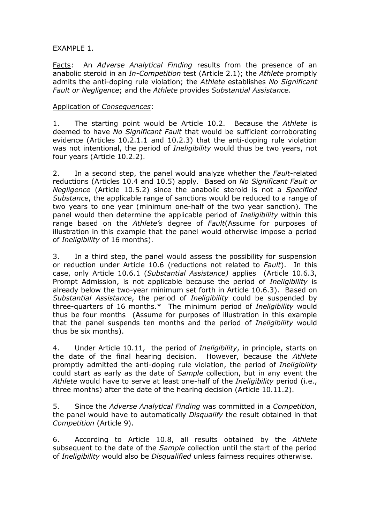#### EXAMPLE 1.

Facts: An *Adverse Analytical Finding* results from the presence of an anabolic steroid in an *In-Competition* test (Article 2.1); the *Athlete* promptly admits the anti-doping rule violation; the *Athlete* establishes *No Significant Fault or Negligence*; and the *Athlete* provides *Substantial Assistance*.

#### Application of *Consequences*:

1. The starting point would be Article 10.2. Because the *Athlete* is deemed to have *No Significant Fault* that would be sufficient corroborating evidence (Articles 10.2.1.1 and 10.2.3) that the anti-doping rule violation was not intentional, the period of *Ineligibility* would thus be two years, not four years (Article 10.2.2).

2. In a second step, the panel would analyze whether the *Fault*-related reductions (Articles 10.4 and 10.5) apply. Based on *No Significant Fault or Negligence* (Article 10.5.2) since the anabolic steroid is not a *Specified Substance*, the applicable range of sanctions would be reduced to a range of two years to one year (minimum one-half of the two year sanction). The panel would then determine the applicable period of *Ineligibility* within this range based on the *Athlete's* degree of *Fault*(Assume for purposes of illustration in this example that the panel would otherwise impose a period of *Ineligibility* of 16 months).

3. In a third step, the panel would assess the possibility for suspension or reduction under Article 10.6 (reductions not related to *Fault*). In this case, only Article 10.6.1 (*Substantial Assistance)* applies (Article 10.6.3, Prompt Admission, is not applicable because the period of *Ineligibility* is already below the two-year minimum set forth in Article 10.6.3). Based on *Substantial Assistance*, the period of *Ineligibility* could be suspended by three-quarters of 16 months.\* The minimum period of *Ineligibility* would thus be four months (Assume for purposes of illustration in this example that the panel suspends ten months and the period of *Ineligibility* would thus be six months).

4. Under Article 10.11, the period of *Ineligibility*, in principle, starts on the date of the final hearing decision. However, because the *Athlete* promptly admitted the anti-doping rule violation, the period of *Ineligibility* could start as early as the date of *Sample* collection, but in any event the *Athlete* would have to serve at least one-half of the *Ineligibility* period (i.e., three months) after the date of the hearing decision (Article 10.11.2).

5. Since the *Adverse Analytical Finding* was committed in a *Competition*, the panel would have to automatically *Disqualify* the result obtained in that *Competition* (Article 9).

6. According to Article 10.8, all results obtained by the *Athlete* subsequent to the date of the *Sample* collection until the start of the period of *Ineligibility* would also be *Disqualified* unless fairness requires otherwise.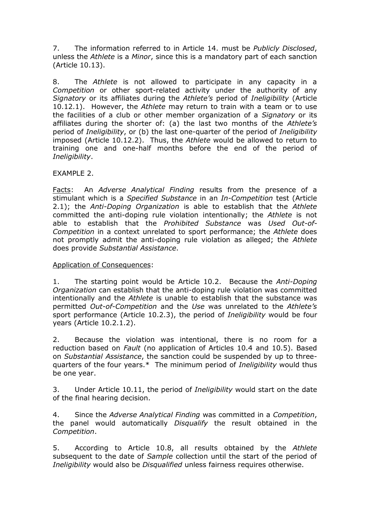7. The information referred to in Article 14. must be *Publicly Disclosed*, unless the *Athlete* is a *Minor*, since this is a mandatory part of each sanction (Article 10.13).

8. The *Athlete* is not allowed to participate in any capacity in a *Competition* or other sport-related activity under the authority of any *Signatory* or its affiliates during the *Athlete's* period of *Ineligibility* (Article 10.12.1). However, the *Athlete* may return to train with a team or to use the facilities of a club or other member organization of a *Signatory* or its affiliates during the shorter of: (a) the last two months of the *Athlete's* period of *Ineligibility*, or (b) the last one-quarter of the period of *Ineligibility* imposed (Article 10.12.2). Thus, the *Athlete* would be allowed to return to training one and one-half months before the end of the period of *Ineligibility*.

#### EXAMPLE 2.

Facts: An *Adverse Analytical Finding* results from the presence of a stimulant which is a *Specified Substance* in an *In-Competition* test (Article 2.1); the *Anti-Doping Organization* is able to establish that the *Athlete* committed the anti-doping rule violation intentionally; the *Athlete* is not able to establish that the *Prohibited Substance* was *Used Out-of-Competition* in a context unrelated to sport performance; the *Athlete* does not promptly admit the anti-doping rule violation as alleged; the *Athlete* does provide *Substantial Assistance*.

#### Application of Consequences:

1. The starting point would be Article 10.2. Because the *Anti-Doping Organization* can establish that the anti-doping rule violation was committed intentionally and the *Athlete* is unable to establish that the substance was permitted *Out-of-Competition* and the *Use* was unrelated to the *Athlete's* sport performance (Article 10.2.3), the period of *Ineligibility* would be four years (Article 10.2.1.2).

2. Because the violation was intentional, there is no room for a reduction based on *Fault* (no application of Articles 10.4 and 10.5). Based on *Substantial Assistance*, the sanction could be suspended by up to threequarters of the four years.\* The minimum period of *Ineligibility* would thus be one year.

3. Under Article 10.11, the period of *Ineligibility* would start on the date of the final hearing decision.

4. Since the *Adverse Analytical Finding* was committed in a *Competition*, the panel would automatically *Disqualify* the result obtained in the *Competition*.

5. According to Article 10.8, all results obtained by the *Athlete* subsequent to the date of *Sample* collection until the start of the period of *Ineligibility* would also be *Disqualified* unless fairness requires otherwise.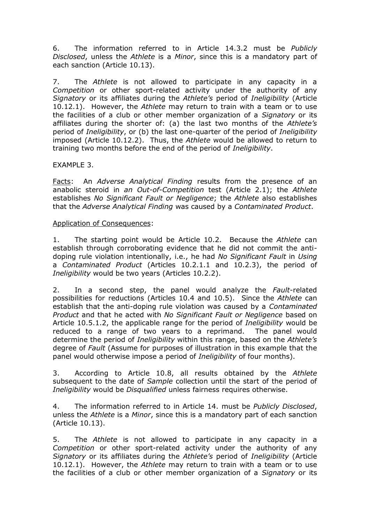6. The information referred to in Article 14.3.2 must be *Publicly Disclosed*, unless the *Athlete* is a *Minor*, since this is a mandatory part of each sanction (Article 10.13).

7. The *Athlete* is not allowed to participate in any capacity in a *Competition* or other sport-related activity under the authority of any *Signatory* or its affiliates during the *Athlete's* period of *Ineligibility* (Article 10.12.1). However, the *Athlete* may return to train with a team or to use the facilities of a club or other member organization of a *Signatory* or its affiliates during the shorter of: (a) the last two months of the *Athlete's* period of *Ineligibility*, or (b) the last one-quarter of the period of *Ineligibility* imposed (Article 10.12.2). Thus, the *Athlete* would be allowed to return to training two months before the end of the period of *Ineligibility*.

#### EXAMPLE 3.

Facts: An *Adverse Analytical Finding* results from the presence of an anabolic steroid in *an Out-of-Competition* test (Article 2.1); the *Athlete* establishes *No Significant Fault or Negligence*; the *Athlete* also establishes that the *Adverse Analytical Finding* was caused by a *Contaminated Product*.

#### Application of Consequences:

1. The starting point would be Article 10.2. Because the *Athlete* can establish through corroborating evidence that he did not commit the antidoping rule violation intentionally, i.e., he had *No Significant Fault* in *Using* a *Contaminated Product* (Articles 10.2.1.1 and 10.2.3), the period of *Ineligibility* would be two years (Articles 10.2.2).

2. In a second step, the panel would analyze the *Fault*-related possibilities for reductions (Articles 10.4 and 10.5). Since the *Athlete* can establish that the anti-doping rule violation was caused by a *Contaminated Product* and that he acted with *No Significant Fault or Negligence* based on Article 10.5.1.2, the applicable range for the period of *Ineligibility* would be reduced to a range of two years to a reprimand. The panel would determine the period of *Ineligibility* within this range, based on the *Athlete's* degree of *Fault* (Assume for purposes of illustration in this example that the panel would otherwise impose a period of *Ineligibility* of four months).

3. According to Article 10.8, all results obtained by the *Athlete* subsequent to the date of *Sample* collection until the start of the period of *Ineligibility* would be *Disqualified* unless fairness requires otherwise.

4. The information referred to in Article 14. must be *Publicly Disclosed*, unless the *Athlete* is a *Minor*, since this is a mandatory part of each sanction (Article 10.13).

5. The *Athlete* is not allowed to participate in any capacity in a *Competition* or other sport-related activity under the authority of any *Signatory* or its affiliates during the *Athlete's* period of *Ineligibility* (Article 10.12.1). However, the *Athlete* may return to train with a team or to use the facilities of a club or other member organization of a *Signatory* or its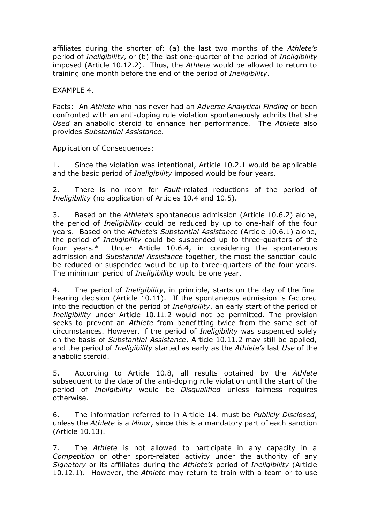affiliates during the shorter of: (a) the last two months of the *Athlete's* period of *Ineligibility*, or (b) the last one-quarter of the period of *Ineligibility* imposed (Article 10.12.2). Thus, the *Athlete* would be allowed to return to training one month before the end of the period of *Ineligibility*.

EXAMPLE 4.

Facts: An *Athlete* who has never had an *Adverse Analytical Finding* or been confronted with an anti-doping rule violation spontaneously admits that she *Used* an anabolic steroid to enhance her performance. The *Athlete* also provides *Substantial Assistance*.

#### Application of Consequences:

1. Since the violation was intentional, Article 10.2.1 would be applicable and the basic period of *Ineligibility* imposed would be four years.

2. There is no room for *Fault*-related reductions of the period of *Ineligibility* (no application of Articles 10.4 and 10.5).

3. Based on the *Athlete's* spontaneous admission (Article 10.6.2) alone, the period of *Ineligibility* could be reduced by up to one-half of the four years. Based on the *Athlete's Substantial Assistance* (Article 10.6.1) alone, the period of *Ineligibility* could be suspended up to three-quarters of the four years.\* Under Article 10.6.4, in considering the spontaneous admission and *Substantial Assistance* together, the most the sanction could be reduced or suspended would be up to three-quarters of the four years. The minimum period of *Ineligibility* would be one year.

4. The period of *Ineligibility*, in principle, starts on the day of the final hearing decision (Article 10.11). If the spontaneous admission is factored into the reduction of the period of *Ineligibility*, an early start of the period of *Ineligibility* under Article 10.11.2 would not be permitted. The provision seeks to prevent an *Athlete* from benefitting twice from the same set of circumstances. However, if the period of *Ineligibility* was suspended solely on the basis of *Substantial Assistance*, Article 10.11.2 may still be applied, and the period of *Ineligibility* started as early as the *Athlete's* last *Use* of the anabolic steroid.

5. According to Article 10.8, all results obtained by the *Athlete* subsequent to the date of the anti-doping rule violation until the start of the period of *Ineligibility* would be *Disqualified* unless fairness requires otherwise.

6. The information referred to in Article 14. must be *Publicly Disclosed*, unless the *Athlete* is a *Minor*, since this is a mandatory part of each sanction (Article 10.13).

7. The *Athlete* is not allowed to participate in any capacity in a *Competition* or other sport-related activity under the authority of any *Signatory* or its affiliates during the *Athlete's* period of *Ineligibility* (Article 10.12.1). However, the *Athlete* may return to train with a team or to use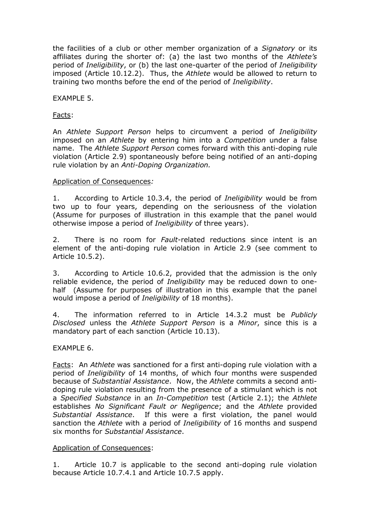the facilities of a club or other member organization of a *Signatory* or its affiliates during the shorter of: (a) the last two months of the *Athlete's* period of *Ineligibility*, or (b) the last one-quarter of the period of *Ineligibility* imposed (Article 10.12.2). Thus, the *Athlete* would be allowed to return to training two months before the end of the period of *Ineligibility*.

#### EXAMPLE 5.

#### Facts:

An *Athlete Support Person* helps to circumvent a period of *Ineligibility* imposed on an *Athlete* by entering him into a *Competition* under a false name. The *Athlete Support Person* comes forward with this anti-doping rule violation (Article 2.9) spontaneously before being notified of an anti-doping rule violation by an *Anti-Doping Organization.*

#### Application of Consequences*:*

1. According to Article 10.3.4, the period of *Ineligibility* would be from two up to four years, depending on the seriousness of the violation (Assume for purposes of illustration in this example that the panel would otherwise impose a period of *Ineligibility* of three years).

2. There is no room for *Fault*-related reductions since intent is an element of the anti-doping rule violation in Article 2.9 (see comment to Article 10.5.2).

3. According to Article 10.6.2, provided that the admission is the only reliable evidence, the period of *Ineligibility* may be reduced down to onehalf (Assume for purposes of illustration in this example that the panel would impose a period of *Ineligibility* of 18 months).

4. The information referred to in Article 14.3.2 must be *Publicly Disclosed* unless the *Athlete Support Person* is a *Minor*, since this is a mandatory part of each sanction (Article 10.13).

#### EXAMPLE 6.

Facts: An *Athlete* was sanctioned for a first anti-doping rule violation with a period of *Ineligibility* of 14 months, of which four months were suspended because of *Substantial Assistance*. Now, the *Athlete* commits a second antidoping rule violation resulting from the presence of a stimulant which is not a *Specified Substance* in an *In-Competition* test (Article 2.1); the *Athlete* establishes *No Significant Fault or Negligence*; and the *Athlete* provided *Substantial Assistance*. If this were a first violation, the panel would sanction the *Athlete* with a period of *Ineligibility* of 16 months and suspend six months for *Substantial Assistance*.

#### Application of Consequences:

1. Article 10.7 is applicable to the second anti-doping rule violation because Article 10.7.4.1 and Article 10.7.5 apply.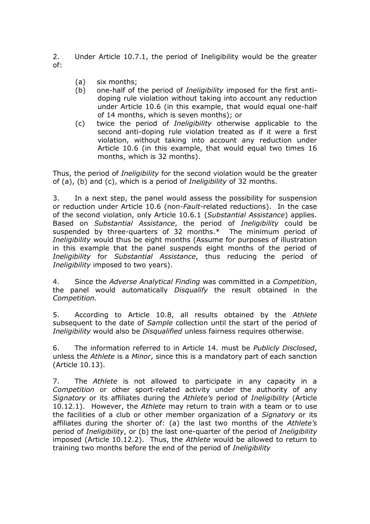2. Under Article 10.7.1, the period of Ineligibility would be the greater of:

- (a) six months;
- (b) one-half of the period of *Ineligibility* imposed for the first antidoping rule violation without taking into account any reduction under Article 10.6 (in this example, that would equal one-half of 14 months, which is seven months); or
- (c) twice the period of *Ineligibility* otherwise applicable to the second anti-doping rule violation treated as if it were a first violation, without taking into account any reduction under Article 10.6 (in this example, that would equal two times 16 months, which is 32 months).

Thus, the period of *Ineligibility* for the second violation would be the greater of (a), (b) and (c), which is a period of *Ineligibility* of 32 months.

3. In a next step, the panel would assess the possibility for suspension or reduction under Article 10.6 (non-*Fault*-related reductions). In the case of the second violation, only Article 10.6.1 (*Substantial Assistance*) applies. Based on *Substantial Assistance*, the period of *Ineligibility* could be suspended by three-quarters of 32 months.\* The minimum period of *Ineligibility* would thus be eight months (Assume for purposes of illustration in this example that the panel suspends eight months of the period of *Ineligibility* for *Substantial Assistance*, thus reducing the period of *Ineligibility* imposed to two years).

4. Since the *Adverse Analytical Finding* was committed in a *Competition*, the panel would automatically *Disqualify* the result obtained in the *Competition.*

5. According to Article 10.8, all results obtained by the *Athlete* subsequent to the date of *Sample* collection until the start of the period of *Ineligibility* would also be *Disqualified* unless fairness requires otherwise.

6. The information referred to in Article 14. must be *Publicly Disclosed*, unless the *Athlete* is a *Minor*, since this is a mandatory part of each sanction (Article 10.13).

7. The *Athlete* is not allowed to participate in any capacity in a *Competition* or other sport-related activity under the authority of any *Signatory* or its affiliates during the *Athlete's* period of *Ineligibility* (Article 10.12.1). However, the *Athlete* may return to train with a team or to use the facilities of a club or other member organization of a *Signatory* or its affiliates during the shorter of: (a) the last two months of the *Athlete's*  period of *Ineligibility*, or (b) the last one-quarter of the period of *Ineligibility*  imposed (Article 10.12.2). Thus, the *Athlete* would be allowed to return to training two months before the end of the period of *Ineligibility*